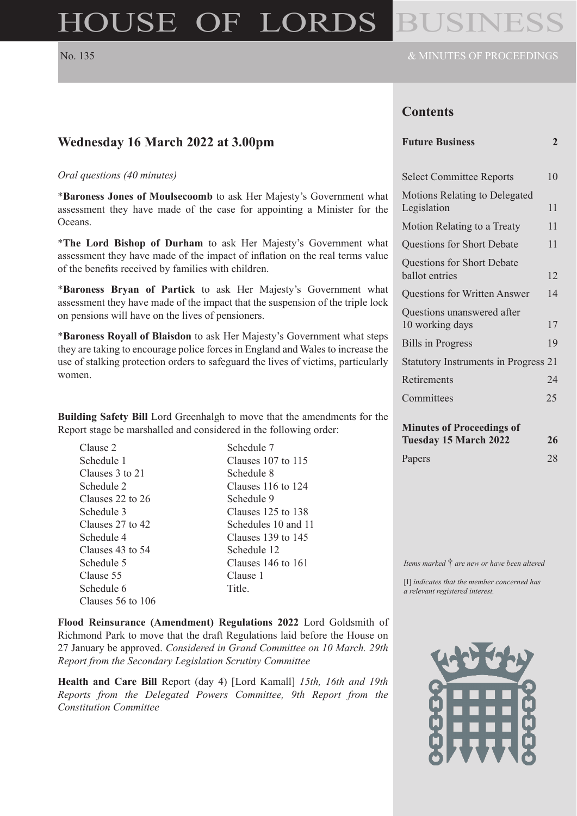# HOUSE OF LORDS

### **Contents**

| <b>Select Committee Reports</b>               | 10 |
|-----------------------------------------------|----|
| Motions Relating to Delegated<br>Legislation  | 11 |
| Motion Relating to a Treaty                   | 11 |
| <b>Questions for Short Debate</b>             | 11 |
| Questions for Short Debate<br>ballot entries  | 12 |
| <b>Questions for Written Answer</b>           | 14 |
| Questions unanswered after<br>10 working days | 17 |
| <b>Bills in Progress</b>                      | 19 |
| <b>Statutory Instruments in Progress 21</b>   |    |
| Retirements                                   | 24 |
| Committees                                    | 25 |
| Minutes of Drocoodings of                     |    |

| <b>Minutes of Proceedings of</b> |    |
|----------------------------------|----|
| Tuesday 15 March 2022            | 26 |
| Papers                           | 28 |

*Items marked* † *are new or have been altered*

[I] *indicates that the member concerned has a relevant registered interest.*



### **Wednesday 16 March 2022 at 3.00pm**

#### *Oral questions (40 minutes)*

\***Baroness Jones of Moulsecoomb** to ask Her Majesty's Government what assessment they have made of the case for appointing a Minister for the Oceans.

\***The Lord Bishop of Durham** to ask Her Majesty's Government what assessment they have made of the impact of inflation on the real terms value of the benefits received by families with children.

\***Baroness Bryan of Partick** to ask Her Majesty's Government what assessment they have made of the impact that the suspension of the triple lock on pensions will have on the lives of pensioners.

\***Baroness Royall of Blaisdon** to ask Her Majesty's Government what steps they are taking to encourage police forces in England and Wales to increase the use of stalking protection orders to safeguard the lives of victims, particularly women.

**Building Safety Bill** Lord Greenhalgh to move that the amendments for the Report stage be marshalled and considered in the following order:

Clause 2 Schedule 1 Clauses 3 to 21 Schedule 2 Clauses 22 to 26 Schedule 3 Clauses 27 to 42 Schedule 4 Clauses 43 to 54 Schedule 5 Clause 55 Schedule 6 Clauses 56 to 106

Schedule 7 Clauses 107 to 115 Schedule 8 Clauses 116 to 124 Schedule 9 Clauses 125 to 138 Schedules 10 and 11 Clauses 139 to 145 Schedule 12 Clauses 146 to 161 Clause 1 Title.

**Flood Reinsurance (Amendment) Regulations 2022** Lord Goldsmith of Richmond Park to move that the draft Regulations laid before the House on 27 January be approved. *Considered in Grand Committee on 10 March. 29th Report from the Secondary Legislation Scrutiny Committee*

**Health and Care Bill** Report (day 4) [Lord Kamall] *15th, 16th and 19th Reports from the Delegated Powers Committee, 9th Report from the Constitution Committee*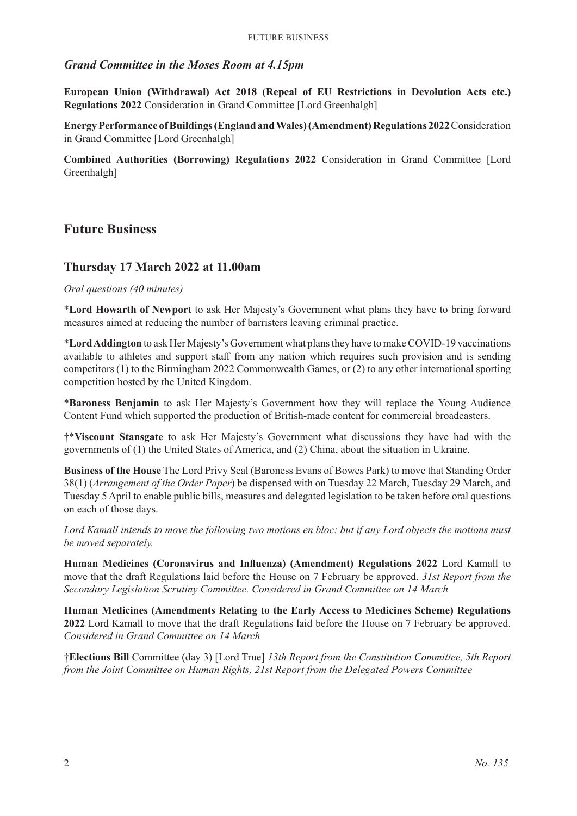### *Grand Committee in the Moses Room at 4.15pm*

**European Union (Withdrawal) Act 2018 (Repeal of EU Restrictions in Devolution Acts etc.) Regulations 2022** Consideration in Grand Committee [Lord Greenhalgh]

**Energy Performance of Buildings (England and Wales) (Amendment) Regulations 2022** Consideration in Grand Committee [Lord Greenhalgh]

**Combined Authorities (Borrowing) Regulations 2022** Consideration in Grand Committee [Lord Greenhalgh]

### **Future Business**

### **Thursday 17 March 2022 at 11.00am**

### *Oral questions (40 minutes)*

\***Lord Howarth of Newport** to ask Her Majesty's Government what plans they have to bring forward measures aimed at reducing the number of barristers leaving criminal practice.

\***Lord Addington** to ask Her Majesty's Government what plans they have to make COVID-19 vaccinations available to athletes and support staff from any nation which requires such provision and is sending competitors (1) to the Birmingham 2022 Commonwealth Games, or (2) to any other international sporting competition hosted by the United Kingdom.

\***Baroness Benjamin** to ask Her Majesty's Government how they will replace the Young Audience Content Fund which supported the production of British-made content for commercial broadcasters.

†\***Viscount Stansgate** to ask Her Majesty's Government what discussions they have had with the governments of (1) the United States of America, and (2) China, about the situation in Ukraine.

**Business of the House** The Lord Privy Seal (Baroness Evans of Bowes Park) to move that Standing Order 38(1) (*Arrangement of the Order Paper*) be dispensed with on Tuesday 22 March, Tuesday 29 March, and Tuesday 5 April to enable public bills, measures and delegated legislation to be taken before oral questions on each of those days.

*Lord Kamall intends to move the following two motions en bloc: but if any Lord objects the motions must be moved separately.*

**Human Medicines (Coronavirus and Influenza) (Amendment) Regulations 2022** Lord Kamall to move that the draft Regulations laid before the House on 7 February be approved. *31st Report from the Secondary Legislation Scrutiny Committee. Considered in Grand Committee on 14 March*

**Human Medicines (Amendments Relating to the Early Access to Medicines Scheme) Regulations 2022** Lord Kamall to move that the draft Regulations laid before the House on 7 February be approved. *Considered in Grand Committee on 14 March*

†**Elections Bill** Committee (day 3) [Lord True] *13th Report from the Constitution Committee, 5th Report from the Joint Committee on Human Rights, 21st Report from the Delegated Powers Committee*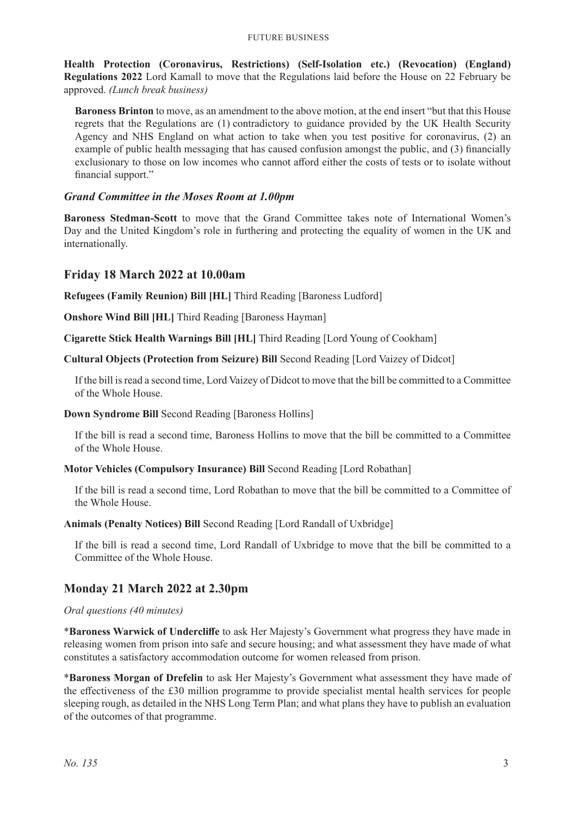**Health Protection (Coronavirus, Restrictions) (Self-Isolation etc.) (Revocation) (England) Regulations 2022** Lord Kamall to move that the Regulations laid before the House on 22 February be approved. *(Lunch break business)*

**Baroness Brinton** to move, as an amendment to the above motion, at the end insert "but that this House regrets that the Regulations are (1) contradictory to guidance provided by the UK Health Security Agency and NHS England on what action to take when you test positive for coronavirus, (2) an example of public health messaging that has caused confusion amongst the public, and (3) financially exclusionary to those on low incomes who cannot afford either the costs of tests or to isolate without financial support."

### *Grand Committee in the Moses Room at 1.00pm*

**Baroness Stedman-Scott** to move that the Grand Committee takes note of International Women's Day and the United Kingdom's role in furthering and protecting the equality of women in the UK and internationally.

### **Friday 18 March 2022 at 10.00am**

**Refugees (Family Reunion) Bill [HL]** Third Reading [Baroness Ludford]

**Onshore Wind Bill [HL]** Third Reading [Baroness Hayman]

**Cigarette Stick Health Warnings Bill [HL]** Third Reading [Lord Young of Cookham]

**Cultural Objects (Protection from Seizure) Bill** Second Reading [Lord Vaizey of Didcot]

If the bill is read a second time, Lord Vaizey of Didcot to move that the bill be committed to a Committee of the Whole House.

#### **Down Syndrome Bill** Second Reading [Baroness Hollins]

If the bill is read a second time, Baroness Hollins to move that the bill be committed to a Committee of the Whole House.

**Motor Vehicles (Compulsory Insurance) Bill** Second Reading [Lord Robathan]

If the bill is read a second time, Lord Robathan to move that the bill be committed to a Committee of the Whole House.

**Animals (Penalty Notices) Bill** Second Reading [Lord Randall of Uxbridge]

If the bill is read a second time, Lord Randall of Uxbridge to move that the bill be committed to a Committee of the Whole House.

### **Monday 21 March 2022 at 2.30pm**

#### *Oral questions (40 minutes)*

\***Baroness Warwick of Undercliffe** to ask Her Majesty's Government what progress they have made in releasing women from prison into safe and secure housing; and what assessment they have made of what constitutes a satisfactory accommodation outcome for women released from prison.

\***Baroness Morgan of Drefelin** to ask Her Majesty's Government what assessment they have made of the effectiveness of the £30 million programme to provide specialist mental health services for people sleeping rough, as detailed in the NHS Long Term Plan; and what plans they have to publish an evaluation of the outcomes of that programme.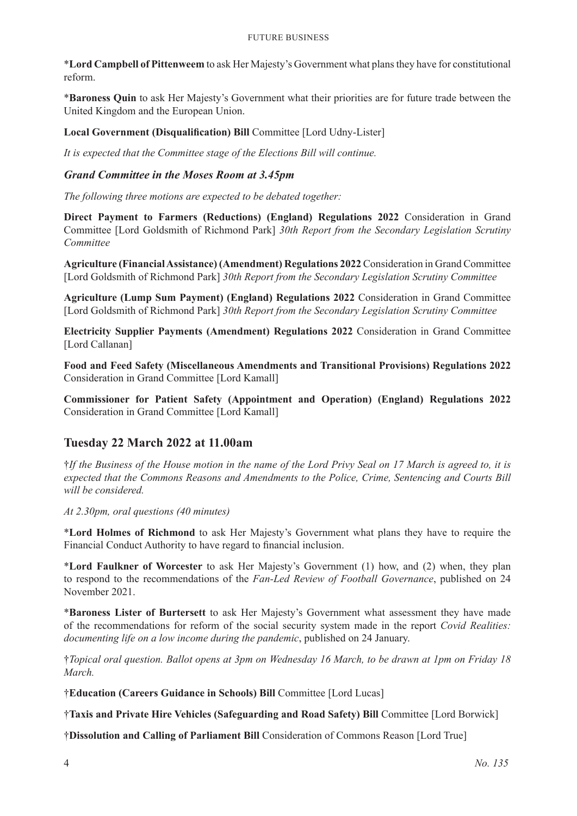#### Future Business

\***Lord Campbell of Pittenweem** to ask Her Majesty's Government what plans they have for constitutional reform.

\***Baroness Quin** to ask Her Majesty's Government what their priorities are for future trade between the United Kingdom and the European Union.

**Local Government (Disqualification) Bill** Committee [Lord Udny-Lister]

*It is expected that the Committee stage of the Elections Bill will continue.*

### *Grand Committee in the Moses Room at 3.45pm*

*The following three motions are expected to be debated together:*

**Direct Payment to Farmers (Reductions) (England) Regulations 2022** Consideration in Grand Committee [Lord Goldsmith of Richmond Park] *30th Report from the Secondary Legislation Scrutiny Committee*

**Agriculture (Financial Assistance) (Amendment) Regulations 2022** Consideration in Grand Committee [Lord Goldsmith of Richmond Park] *30th Report from the Secondary Legislation Scrutiny Committee*

**Agriculture (Lump Sum Payment) (England) Regulations 2022** Consideration in Grand Committee [Lord Goldsmith of Richmond Park] *30th Report from the Secondary Legislation Scrutiny Committee*

**Electricity Supplier Payments (Amendment) Regulations 2022** Consideration in Grand Committee [Lord Callanan]

**Food and Feed Safety (Miscellaneous Amendments and Transitional Provisions) Regulations 2022** Consideration in Grand Committee [Lord Kamall]

**Commissioner for Patient Safety (Appointment and Operation) (England) Regulations 2022** Consideration in Grand Committee [Lord Kamall]

### **Tuesday 22 March 2022 at 11.00am**

†*If the Business of the House motion in the name of the Lord Privy Seal on 17 March is agreed to, it is expected that the Commons Reasons and Amendments to the Police, Crime, Sentencing and Courts Bill will be considered.*

*At 2.30pm, oral questions (40 minutes)*

\***Lord Holmes of Richmond** to ask Her Majesty's Government what plans they have to require the Financial Conduct Authority to have regard to financial inclusion.

\***Lord Faulkner of Worcester** to ask Her Majesty's Government (1) how, and (2) when, they plan to respond to the recommendations of the *Fan-Led Review of Football Governance*, published on 24 November 2021.

\***Baroness Lister of Burtersett** to ask Her Majesty's Government what assessment they have made of the recommendations for reform of the social security system made in the report *Covid Realities: documenting life on a low income during the pandemic*, published on 24 January.

†*Topical oral question. Ballot opens at 3pm on Wednesday 16 March, to be drawn at 1pm on Friday 18 March.*

†**Education (Careers Guidance in Schools) Bill** Committee [Lord Lucas]

†**Taxis and Private Hire Vehicles (Safeguarding and Road Safety) Bill** Committee [Lord Borwick]

†**Dissolution and Calling of Parliament Bill** Consideration of Commons Reason [Lord True]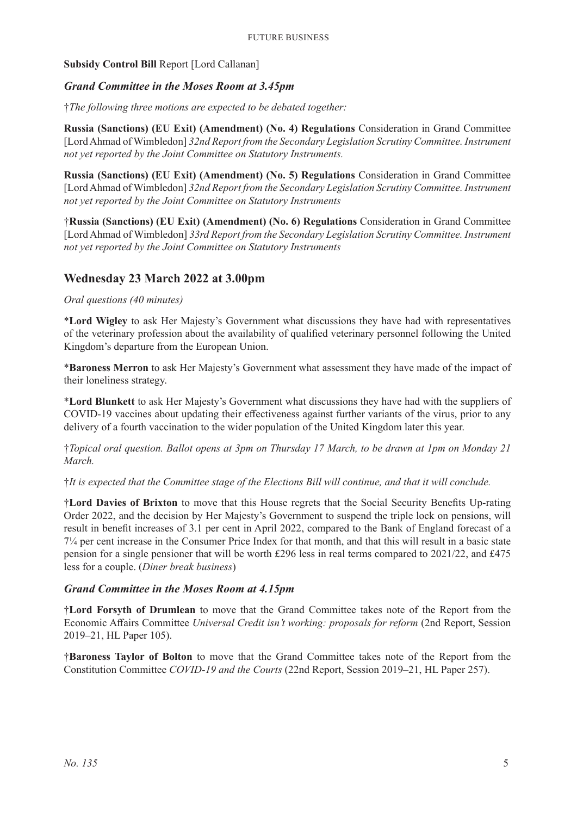### **Subsidy Control Bill** Report [Lord Callanan]

### *Grand Committee in the Moses Room at 3.45pm*

†*The following three motions are expected to be debated together:*

**Russia (Sanctions) (EU Exit) (Amendment) (No. 4) Regulations** Consideration in Grand Committee [Lord Ahmad of Wimbledon] *32nd Report from the Secondary Legislation Scrutiny Committee. Instrument not yet reported by the Joint Committee on Statutory Instruments.*

**Russia (Sanctions) (EU Exit) (Amendment) (No. 5) Regulations** Consideration in Grand Committee [Lord Ahmad of Wimbledon] *32nd Report from the Secondary Legislation Scrutiny Committee. Instrument not yet reported by the Joint Committee on Statutory Instruments*

†**Russia (Sanctions) (EU Exit) (Amendment) (No. 6) Regulations** Consideration in Grand Committee [Lord Ahmad of Wimbledon] *33rd Report from the Secondary Legislation Scrutiny Committee. Instrument not yet reported by the Joint Committee on Statutory Instruments*

### **Wednesday 23 March 2022 at 3.00pm**

### *Oral questions (40 minutes)*

\***Lord Wigley** to ask Her Majesty's Government what discussions they have had with representatives of the veterinary profession about the availability of qualified veterinary personnel following the United Kingdom's departure from the European Union.

\***Baroness Merron** to ask Her Majesty's Government what assessment they have made of the impact of their loneliness strategy.

\***Lord Blunkett** to ask Her Majesty's Government what discussions they have had with the suppliers of COVID-19 vaccines about updating their effectiveness against further variants of the virus, prior to any delivery of a fourth vaccination to the wider population of the United Kingdom later this year.

†*Topical oral question. Ballot opens at 3pm on Thursday 17 March, to be drawn at 1pm on Monday 21 March.*

†*It is expected that the Committee stage of the Elections Bill will continue, and that it will conclude.*

†**Lord Davies of Brixton** to move that this House regrets that the Social Security Benefits Up-rating Order 2022, and the decision by Her Majesty's Government to suspend the triple lock on pensions, will result in benefit increases of 3.1 per cent in April 2022, compared to the Bank of England forecast of a 7¼ per cent increase in the Consumer Price Index for that month, and that this will result in a basic state pension for a single pensioner that will be worth £296 less in real terms compared to 2021/22, and £475 less for a couple. (*Diner break business*)

### *Grand Committee in the Moses Room at 4.15pm*

†**Lord Forsyth of Drumlean** to move that the Grand Committee takes note of the Report from the Economic Affairs Committee *Universal Credit isn't working: proposals for reform* (2nd Report, Session 2019–21, HL Paper 105).

†**Baroness Taylor of Bolton** to move that the Grand Committee takes note of the Report from the Constitution Committee *COVID-19 and the Courts* (22nd Report, Session 2019–21, HL Paper 257).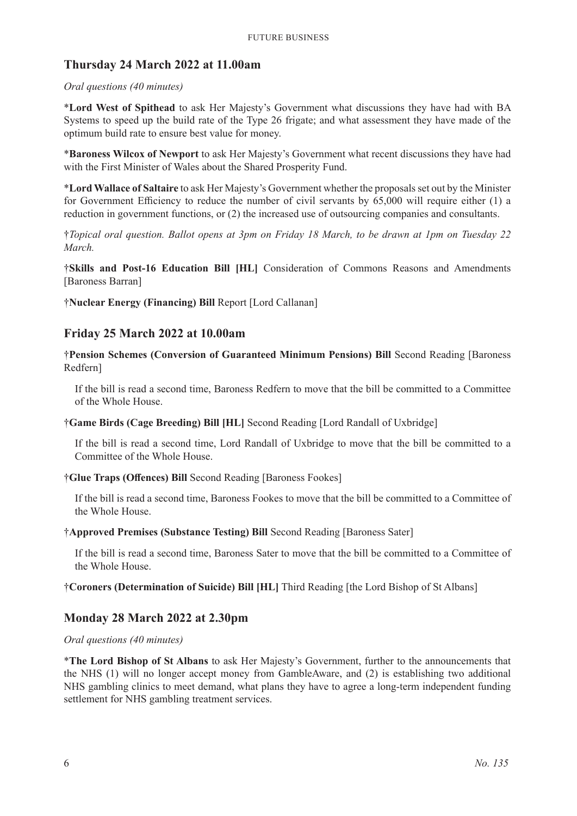### **Thursday 24 March 2022 at 11.00am**

### *Oral questions (40 minutes)*

\***Lord West of Spithead** to ask Her Majesty's Government what discussions they have had with BA Systems to speed up the build rate of the Type 26 frigate; and what assessment they have made of the optimum build rate to ensure best value for money.

\***Baroness Wilcox of Newport** to ask Her Majesty's Government what recent discussions they have had with the First Minister of Wales about the Shared Prosperity Fund.

\***Lord Wallace of Saltaire** to ask Her Majesty's Government whether the proposals set out by the Minister for Government Efficiency to reduce the number of civil servants by 65,000 will require either (1) a reduction in government functions, or (2) the increased use of outsourcing companies and consultants.

†*Topical oral question. Ballot opens at 3pm on Friday 18 March, to be drawn at 1pm on Tuesday 22 March.*

†**Skills and Post-16 Education Bill [HL]** Consideration of Commons Reasons and Amendments [Baroness Barran]

†**Nuclear Energy (Financing) Bill** Report [Lord Callanan]

### **Friday 25 March 2022 at 10.00am**

†**Pension Schemes (Conversion of Guaranteed Minimum Pensions) Bill** Second Reading [Baroness Redfern]

If the bill is read a second time, Baroness Redfern to move that the bill be committed to a Committee of the Whole House.

†**Game Birds (Cage Breeding) Bill [HL]** Second Reading [Lord Randall of Uxbridge]

If the bill is read a second time, Lord Randall of Uxbridge to move that the bill be committed to a Committee of the Whole House.

### †**Glue Traps (Offences) Bill** Second Reading [Baroness Fookes]

If the bill is read a second time, Baroness Fookes to move that the bill be committed to a Committee of the Whole House.

### †**Approved Premises (Substance Testing) Bill** Second Reading [Baroness Sater]

If the bill is read a second time, Baroness Sater to move that the bill be committed to a Committee of the Whole House.

### †**Coroners (Determination of Suicide) Bill [HL]** Third Reading [the Lord Bishop of St Albans]

### **Monday 28 March 2022 at 2.30pm**

### *Oral questions (40 minutes)*

\***The Lord Bishop of St Albans** to ask Her Majesty's Government, further to the announcements that the NHS (1) will no longer accept money from GambleAware, and (2) is establishing two additional NHS gambling clinics to meet demand, what plans they have to agree a long-term independent funding settlement for NHS gambling treatment services.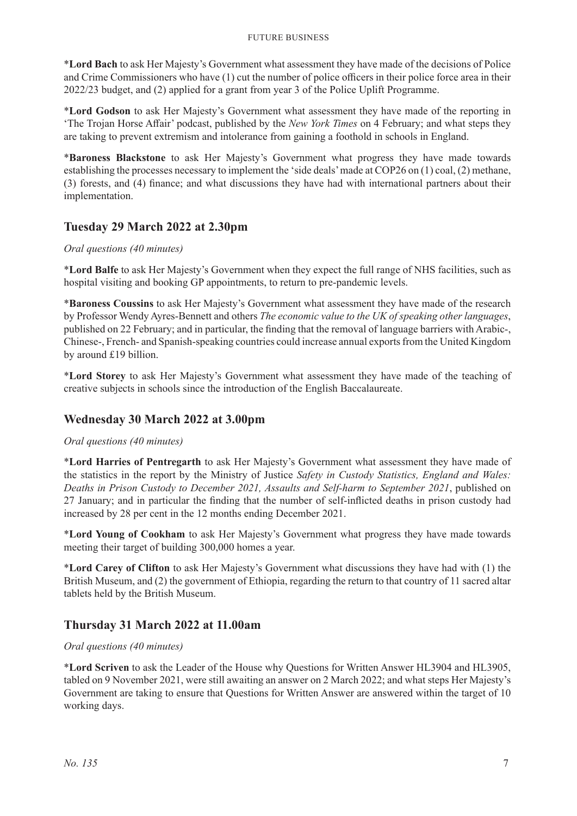#### Future Business

\***Lord Bach** to ask Her Majesty's Government what assessment they have made of the decisions of Police and Crime Commissioners who have (1) cut the number of police officers in their police force area in their 2022/23 budget, and (2) applied for a grant from year 3 of the Police Uplift Programme.

\***Lord Godson** to ask Her Majesty's Government what assessment they have made of the reporting in 'The Trojan Horse Affair' podcast, published by the *New York Times* on 4 February; and what steps they are taking to prevent extremism and intolerance from gaining a foothold in schools in England.

\***Baroness Blackstone** to ask Her Majesty's Government what progress they have made towards establishing the processes necessary to implement the 'side deals' made at COP26 on (1) coal, (2) methane, (3) forests, and (4) finance; and what discussions they have had with international partners about their implementation.

### **Tuesday 29 March 2022 at 2.30pm**

### *Oral questions (40 minutes)*

\***Lord Balfe** to ask Her Majesty's Government when they expect the full range of NHS facilities, such as hospital visiting and booking GP appointments, to return to pre-pandemic levels.

\***Baroness Coussins** to ask Her Majesty's Government what assessment they have made of the research by Professor Wendy Ayres-Bennett and others *The economic value to the UK of speaking other languages*, published on 22 February; and in particular, the finding that the removal of language barriers with Arabic-, Chinese-, French- and Spanish-speaking countries could increase annual exports from the United Kingdom by around £19 billion.

\***Lord Storey** to ask Her Majesty's Government what assessment they have made of the teaching of creative subjects in schools since the introduction of the English Baccalaureate.

### **Wednesday 30 March 2022 at 3.00pm**

### *Oral questions (40 minutes)*

\***Lord Harries of Pentregarth** to ask Her Majesty's Government what assessment they have made of the statistics in the report by the Ministry of Justice *Safety in Custody Statistics, England and Wales: Deaths in Prison Custody to December 2021, Assaults and Self-harm to September 2021*, published on 27 January; and in particular the finding that the number of self-inflicted deaths in prison custody had increased by 28 per cent in the 12 months ending December 2021.

\***Lord Young of Cookham** to ask Her Majesty's Government what progress they have made towards meeting their target of building 300,000 homes a year.

\***Lord Carey of Clifton** to ask Her Majesty's Government what discussions they have had with (1) the British Museum, and (2) the government of Ethiopia, regarding the return to that country of 11 sacred altar tablets held by the British Museum.

### **Thursday 31 March 2022 at 11.00am**

### *Oral questions (40 minutes)*

\***Lord Scriven** to ask the Leader of the House why Questions for Written Answer HL3904 and HL3905, tabled on 9 November 2021, were still awaiting an answer on 2 March 2022; and what steps Her Majesty's Government are taking to ensure that Questions for Written Answer are answered within the target of 10 working days.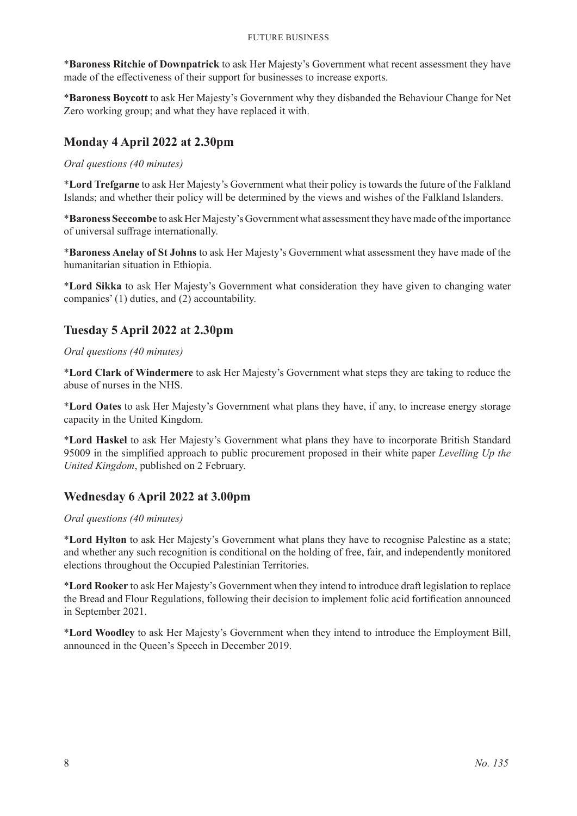\***Baroness Ritchie of Downpatrick** to ask Her Majesty's Government what recent assessment they have made of the effectiveness of their support for businesses to increase exports.

\***Baroness Boycott** to ask Her Majesty's Government why they disbanded the Behaviour Change for Net Zero working group; and what they have replaced it with.

### **Monday 4 April 2022 at 2.30pm**

*Oral questions (40 minutes)*

\***Lord Trefgarne** to ask Her Majesty's Government what their policy is towards the future of the Falkland Islands; and whether their policy will be determined by the views and wishes of the Falkland Islanders.

\***Baroness Seccombe** to ask Her Majesty's Government what assessment they have made of the importance of universal suffrage internationally.

\***Baroness Anelay of St Johns** to ask Her Majesty's Government what assessment they have made of the humanitarian situation in Ethiopia.

\***Lord Sikka** to ask Her Majesty's Government what consideration they have given to changing water companies' (1) duties, and (2) accountability.

### **Tuesday 5 April 2022 at 2.30pm**

### *Oral questions (40 minutes)*

\***Lord Clark of Windermere** to ask Her Majesty's Government what steps they are taking to reduce the abuse of nurses in the NHS.

\***Lord Oates** to ask Her Majesty's Government what plans they have, if any, to increase energy storage capacity in the United Kingdom.

\***Lord Haskel** to ask Her Majesty's Government what plans they have to incorporate British Standard 95009 in the simplified approach to public procurement proposed in their white paper *Levelling Up the United Kingdom*, published on 2 February.

### **Wednesday 6 April 2022 at 3.00pm**

### *Oral questions (40 minutes)*

\***Lord Hylton** to ask Her Majesty's Government what plans they have to recognise Palestine as a state; and whether any such recognition is conditional on the holding of free, fair, and independently monitored elections throughout the Occupied Palestinian Territories.

\***Lord Rooker** to ask Her Majesty's Government when they intend to introduce draft legislation to replace the Bread and Flour Regulations, following their decision to implement folic acid fortification announced in September 2021.

\***Lord Woodley** to ask Her Majesty's Government when they intend to introduce the Employment Bill, announced in the Queen's Speech in December 2019.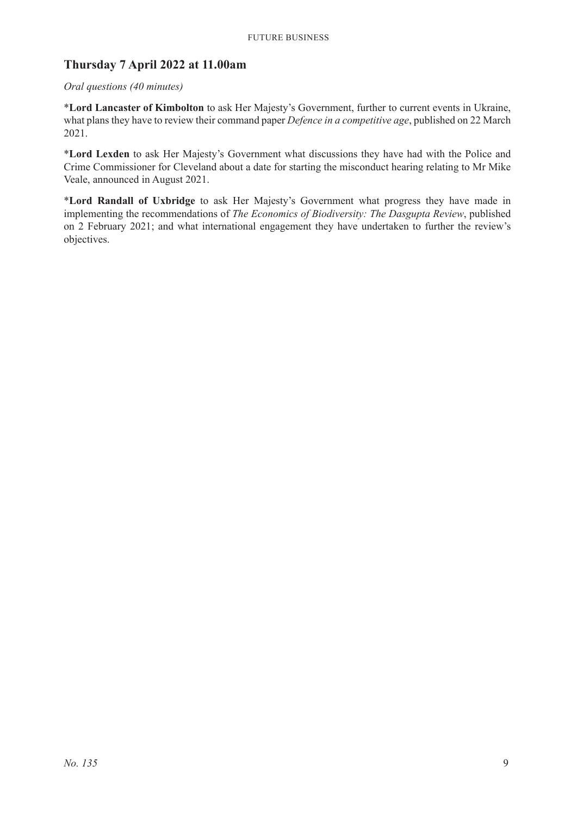### **Thursday 7 April 2022 at 11.00am**

### *Oral questions (40 minutes)*

\***Lord Lancaster of Kimbolton** to ask Her Majesty's Government, further to current events in Ukraine, what plans they have to review their command paper *Defence in a competitive age*, published on 22 March 2021.

\***Lord Lexden** to ask Her Majesty's Government what discussions they have had with the Police and Crime Commissioner for Cleveland about a date for starting the misconduct hearing relating to Mr Mike Veale, announced in August 2021.

\***Lord Randall of Uxbridge** to ask Her Majesty's Government what progress they have made in implementing the recommendations of *The Economics of Biodiversity: The Dasgupta Review*, published on 2 February 2021; and what international engagement they have undertaken to further the review's objectives.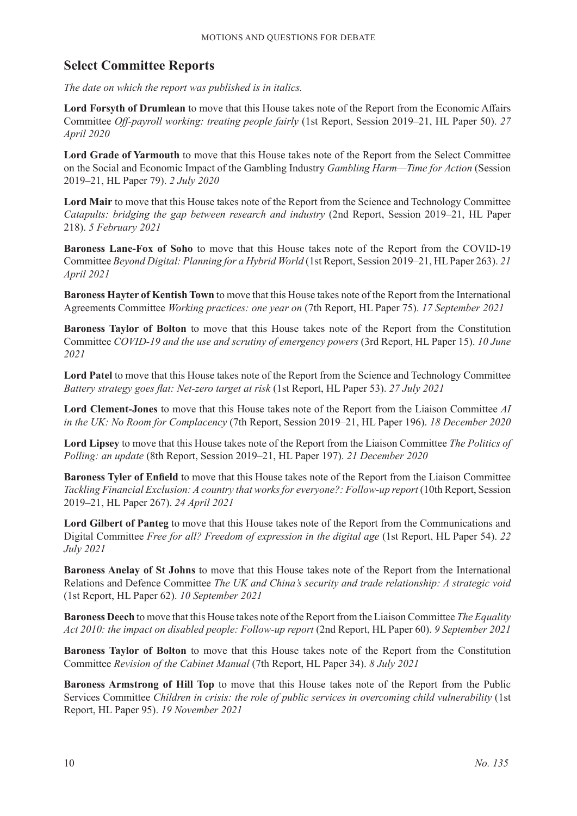### **Select Committee Reports**

*The date on which the report was published is in italics.*

**Lord Forsyth of Drumlean** to move that this House takes note of the Report from the Economic Affairs Committee *Off-payroll working: treating people fairly* (1st Report, Session 2019–21, HL Paper 50). *27 April 2020*

**Lord Grade of Yarmouth** to move that this House takes note of the Report from the Select Committee on the Social and Economic Impact of the Gambling Industry *Gambling Harm—Time for Action* (Session 2019–21, HL Paper 79). *2 July 2020*

**Lord Mair** to move that this House takes note of the Report from the Science and Technology Committee *Catapults: bridging the gap between research and industry* (2nd Report, Session 2019–21, HL Paper 218). *5 February 2021*

**Baroness Lane-Fox of Soho** to move that this House takes note of the Report from the COVID-19 Committee *Beyond Digital: Planning for a Hybrid World* (1st Report, Session 2019–21, HL Paper 263). *21 April 2021*

**Baroness Hayter of Kentish Town** to move that this House takes note of the Report from the International Agreements Committee *Working practices: one year on* (7th Report, HL Paper 75). *17 September 2021*

**Baroness Taylor of Bolton** to move that this House takes note of the Report from the Constitution Committee *COVID-19 and the use and scrutiny of emergency powers* (3rd Report, HL Paper 15). *10 June 2021*

**Lord Patel** to move that this House takes note of the Report from the Science and Technology Committee *Battery strategy goes flat: Net-zero target at risk* (1st Report, HL Paper 53). *27 July 2021*

**Lord Clement-Jones** to move that this House takes note of the Report from the Liaison Committee *AI in the UK: No Room for Complacency* (7th Report, Session 2019–21, HL Paper 196). *18 December 2020*

**Lord Lipsey** to move that this House takes note of the Report from the Liaison Committee *The Politics of Polling: an update* (8th Report, Session 2019–21, HL Paper 197). *21 December 2020*

**Baroness Tyler of Enfield** to move that this House takes note of the Report from the Liaison Committee *Tackling Financial Exclusion: A country that works for everyone?: Follow-up report* (10th Report, Session 2019–21, HL Paper 267). *24 April 2021*

**Lord Gilbert of Panteg** to move that this House takes note of the Report from the Communications and Digital Committee *Free for all? Freedom of expression in the digital age* (1st Report, HL Paper 54). *22 July 2021*

**Baroness Anelay of St Johns** to move that this House takes note of the Report from the International Relations and Defence Committee *The UK and China's security and trade relationship: A strategic void* (1st Report, HL Paper 62). *10 September 2021*

**Baroness Deech** to move that this House takes note of the Report from the Liaison Committee *The Equality Act 2010: the impact on disabled people: Follow-up report* (2nd Report, HL Paper 60). *9 September 2021*

**Baroness Taylor of Bolton** to move that this House takes note of the Report from the Constitution Committee *Revision of the Cabinet Manual* (7th Report, HL Paper 34). *8 July 2021*

**Baroness Armstrong of Hill Top** to move that this House takes note of the Report from the Public Services Committee *Children in crisis: the role of public services in overcoming child vulnerability* (1st Report, HL Paper 95). *19 November 2021*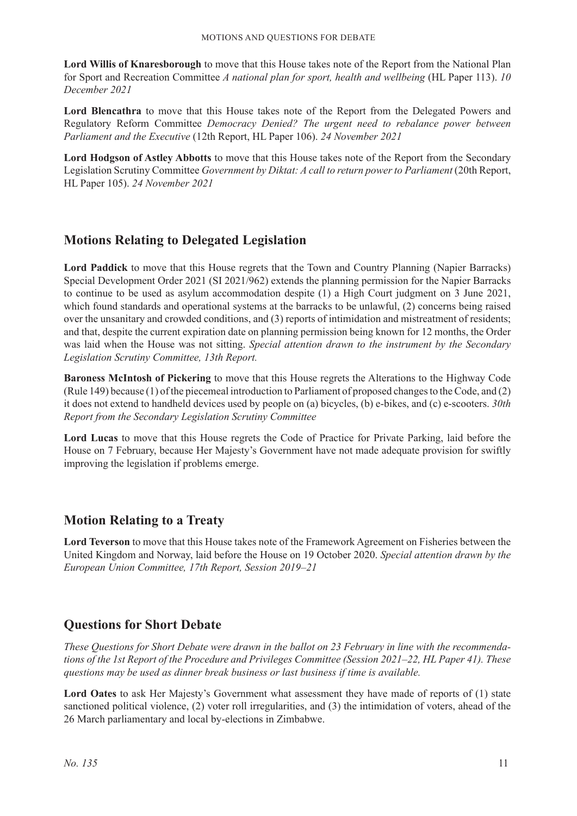**Lord Willis of Knaresborough** to move that this House takes note of the Report from the National Plan for Sport and Recreation Committee *A national plan for sport, health and wellbeing* (HL Paper 113). *10 December 2021*

**Lord Blencathra** to move that this House takes note of the Report from the Delegated Powers and Regulatory Reform Committee *Democracy Denied? The urgent need to rebalance power between Parliament and the Executive* (12th Report, HL Paper 106). *24 November 2021*

**Lord Hodgson of Astley Abbotts** to move that this House takes note of the Report from the Secondary Legislation Scrutiny Committee *Government by Diktat: A call to return power to Parliament* (20th Report, HL Paper 105). *24 November 2021*

### **Motions Relating to Delegated Legislation**

**Lord Paddick** to move that this House regrets that the Town and Country Planning (Napier Barracks) Special Development Order 2021 (SI 2021/962) extends the planning permission for the Napier Barracks to continue to be used as asylum accommodation despite (1) a High Court judgment on 3 June 2021, which found standards and operational systems at the barracks to be unlawful, (2) concerns being raised over the unsanitary and crowded conditions, and (3) reports of intimidation and mistreatment of residents; and that, despite the current expiration date on planning permission being known for 12 months, the Order was laid when the House was not sitting. *Special attention drawn to the instrument by the Secondary Legislation Scrutiny Committee, 13th Report.*

**Baroness McIntosh of Pickering** to move that this House regrets the Alterations to the Highway Code (Rule 149) because (1) of the piecemeal introduction to Parliament of proposed changes to the Code, and (2) it does not extend to handheld devices used by people on (a) bicycles, (b) e-bikes, and (c) e-scooters. *30th Report from the Secondary Legislation Scrutiny Committee*

**Lord Lucas** to move that this House regrets the Code of Practice for Private Parking, laid before the House on 7 February, because Her Majesty's Government have not made adequate provision for swiftly improving the legislation if problems emerge.

### **Motion Relating to a Treaty**

**Lord Teverson** to move that this House takes note of the Framework Agreement on Fisheries between the United Kingdom and Norway, laid before the House on 19 October 2020. *Special attention drawn by the European Union Committee, 17th Report, Session 2019–21*

### **Questions for Short Debate**

*These Questions for Short Debate were drawn in the ballot on 23 February in line with the recommendations of the 1st Report of the Procedure and Privileges Committee (Session 2021–22, HL Paper 41). These questions may be used as dinner break business or last business if time is available.*

Lord Oates to ask Her Majesty's Government what assessment they have made of reports of (1) state sanctioned political violence, (2) voter roll irregularities, and (3) the intimidation of voters, ahead of the 26 March parliamentary and local by-elections in Zimbabwe.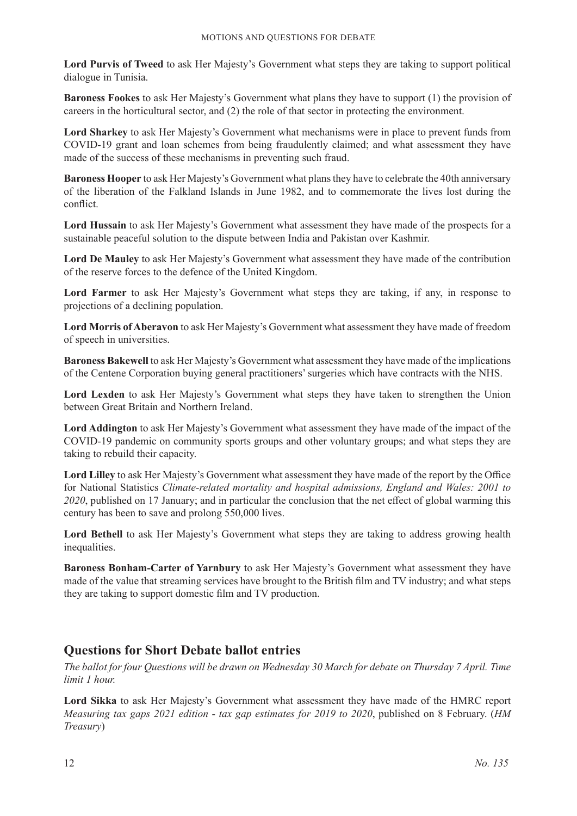**Lord Purvis of Tweed** to ask Her Majesty's Government what steps they are taking to support political dialogue in Tunisia.

**Baroness Fookes** to ask Her Majesty's Government what plans they have to support (1) the provision of careers in the horticultural sector, and (2) the role of that sector in protecting the environment.

**Lord Sharkey** to ask Her Majesty's Government what mechanisms were in place to prevent funds from COVID-19 grant and loan schemes from being fraudulently claimed; and what assessment they have made of the success of these mechanisms in preventing such fraud.

**Baroness Hooper** to ask Her Majesty's Government what plans they have to celebrate the 40th anniversary of the liberation of the Falkland Islands in June 1982, and to commemorate the lives lost during the conflict.

**Lord Hussain** to ask Her Majesty's Government what assessment they have made of the prospects for a sustainable peaceful solution to the dispute between India and Pakistan over Kashmir.

**Lord De Mauley** to ask Her Majesty's Government what assessment they have made of the contribution of the reserve forces to the defence of the United Kingdom.

**Lord Farmer** to ask Her Majesty's Government what steps they are taking, if any, in response to projections of a declining population.

**Lord Morris of Aberavon** to ask Her Majesty's Government what assessment they have made of freedom of speech in universities.

**Baroness Bakewell** to ask Her Majesty's Government what assessment they have made of the implications of the Centene Corporation buying general practitioners' surgeries which have contracts with the NHS.

**Lord Lexden** to ask Her Majesty's Government what steps they have taken to strengthen the Union between Great Britain and Northern Ireland.

**Lord Addington** to ask Her Majesty's Government what assessment they have made of the impact of the COVID-19 pandemic on community sports groups and other voluntary groups; and what steps they are taking to rebuild their capacity.

**Lord Lilley** to ask Her Majesty's Government what assessment they have made of the report by the Office for National Statistics *Climate-related mortality and hospital admissions, England and Wales: 2001 to 2020*, published on 17 January; and in particular the conclusion that the net effect of global warming this century has been to save and prolong 550,000 lives.

Lord Bethell to ask Her Majesty's Government what steps they are taking to address growing health inequalities.

**Baroness Bonham-Carter of Yarnbury** to ask Her Majesty's Government what assessment they have made of the value that streaming services have brought to the British film and TV industry; and what steps they are taking to support domestic film and TV production.

### **Questions for Short Debate ballot entries**

*The ballot for four Questions will be drawn on Wednesday 30 March for debate on Thursday 7 April. Time limit 1 hour.*

**Lord Sikka** to ask Her Majesty's Government what assessment they have made of the HMRC report *Measuring tax gaps 2021 edition - tax gap estimates for 2019 to 2020*, published on 8 February. (*HM Treasury*)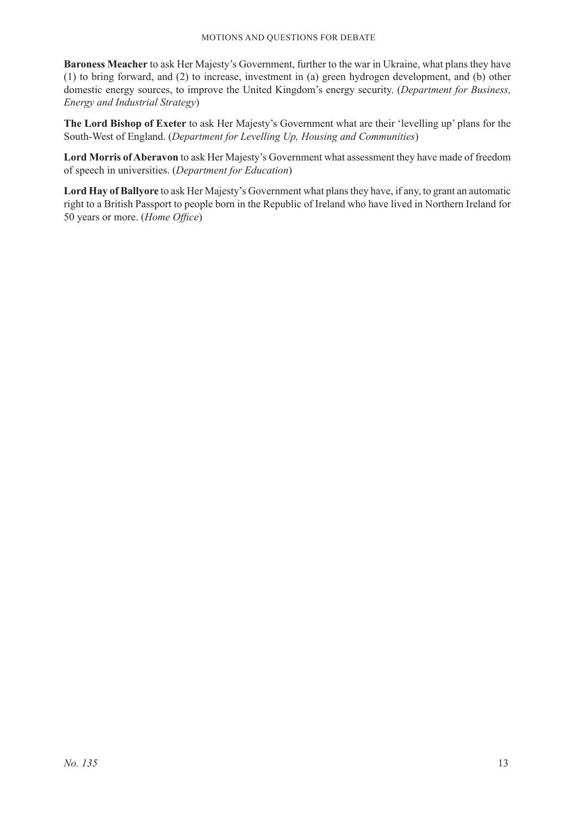**Baroness Meacher** to ask Her Majesty's Government, further to the war in Ukraine, what plans they have (1) to bring forward, and (2) to increase, investment in (a) green hydrogen development, and (b) other domestic energy sources, to improve the United Kingdom's energy security. (*Department for Business, Energy and Industrial Strategy*)

**The Lord Bishop of Exeter** to ask Her Majesty's Government what are their 'levelling up' plans for the South-West of England. (*Department for Levelling Up, Housing and Communities*)

**Lord Morris of Aberavon** to ask Her Majesty's Government what assessment they have made of freedom of speech in universities. (*Department for Education*)

**Lord Hay of Ballyore** to ask Her Majesty's Government what plans they have, if any, to grant an automatic right to a British Passport to people born in the Republic of Ireland who have lived in Northern Ireland for 50 years or more. (*Home Office*)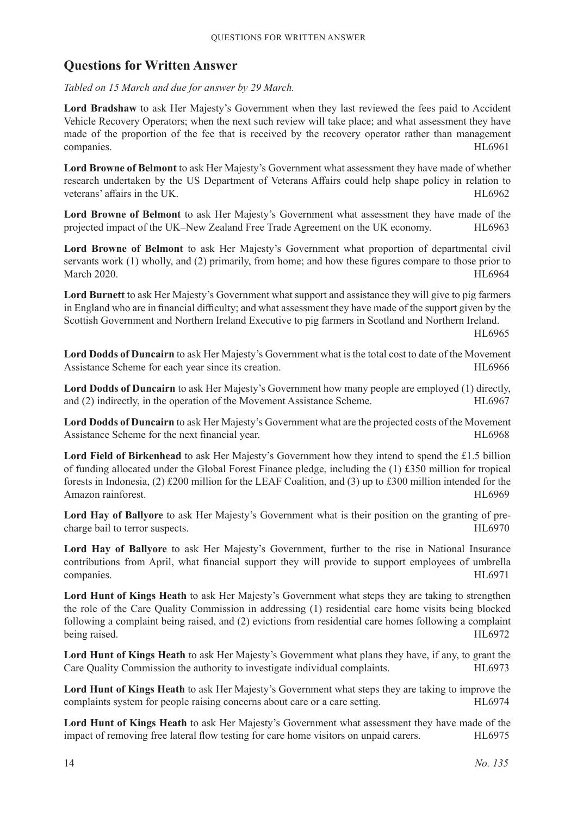### **Questions for Written Answer**

*Tabled on 15 March and due for answer by 29 March.*

**Lord Bradshaw** to ask Her Majesty's Government when they last reviewed the fees paid to Accident Vehicle Recovery Operators; when the next such review will take place; and what assessment they have made of the proportion of the fee that is received by the recovery operator rather than management companies. HL6961

**Lord Browne of Belmont** to ask Her Majesty's Government what assessment they have made of whether research undertaken by the US Department of Veterans Affairs could help shape policy in relation to veterans' affairs in the UK. 
HL6962

**Lord Browne of Belmont** to ask Her Majesty's Government what assessment they have made of the projected impact of the UK–New Zealand Free Trade Agreement on the UK economy. HL6963

**Lord Browne of Belmont** to ask Her Majesty's Government what proportion of departmental civil servants work (1) wholly, and (2) primarily, from home; and how these figures compare to those prior to March 2020. HL6964

**Lord Burnett** to ask Her Majesty's Government what support and assistance they will give to pig farmers in England who are in financial difficulty; and what assessment they have made of the support given by the Scottish Government and Northern Ireland Executive to pig farmers in Scotland and Northern Ireland.

HL6965

**Lord Dodds of Duncairn** to ask Her Majesty's Government what is the total cost to date of the Movement Assistance Scheme for each year since its creation. HL6966

**Lord Dodds of Duncairn** to ask Her Majesty's Government how many people are employed (1) directly, and (2) indirectly, in the operation of the Movement Assistance Scheme. HL6967

**Lord Dodds of Duncairn** to ask Her Majesty's Government what are the projected costs of the Movement Assistance Scheme for the next financial year. HL6968

Lord Field of Birkenhead to ask Her Majesty's Government how they intend to spend the £1.5 billion of funding allocated under the Global Forest Finance pledge, including the  $(1)$  £350 million for tropical forests in Indonesia, (2) £200 million for the LEAF Coalition, and (3) up to £300 million intended for the Amazon rainforest. **HL6969** 

**Lord Hay of Ballyore** to ask Her Majesty's Government what is their position on the granting of precharge bail to terror suspects. HL6970

**Lord Hay of Ballyore** to ask Her Majesty's Government, further to the rise in National Insurance contributions from April, what financial support they will provide to support employees of umbrella companies. HL6971

Lord Hunt of Kings Heath to ask Her Majesty's Government what steps they are taking to strengthen the role of the Care Quality Commission in addressing (1) residential care home visits being blocked following a complaint being raised, and (2) evictions from residential care homes following a complaint being raised. HL6972

**Lord Hunt of Kings Heath** to ask Her Majesty's Government what plans they have, if any, to grant the Care Quality Commission the authority to investigate individual complaints. HL6973

**Lord Hunt of Kings Heath** to ask Her Majesty's Government what steps they are taking to improve the complaints system for people raising concerns about care or a care setting. HL6974

**Lord Hunt of Kings Heath** to ask Her Majesty's Government what assessment they have made of the impact of removing free lateral flow testing for care home visitors on unpaid carers. HL6975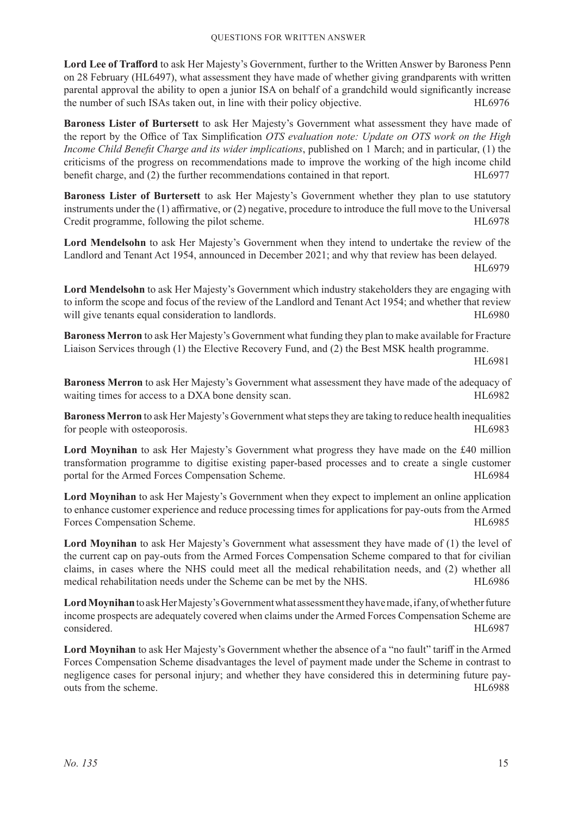**Lord Lee of Trafford** to ask Her Majesty's Government, further to the Written Answer by Baroness Penn on 28 February (HL6497), what assessment they have made of whether giving grandparents with written parental approval the ability to open a junior ISA on behalf of a grandchild would significantly increase the number of such ISAs taken out, in line with their policy objective. HL6976

**Baroness Lister of Burtersett** to ask Her Majesty's Government what assessment they have made of the report by the Office of Tax Simplification *OTS evaluation note: Update on OTS work on the High Income Child Benefit Charge and its wider implications*, published on 1 March; and in particular, (1) the criticisms of the progress on recommendations made to improve the working of the high income child benefit charge, and (2) the further recommendations contained in that report. HL6977

**Baroness Lister of Burtersett** to ask Her Majesty's Government whether they plan to use statutory instruments under the (1) affirmative, or (2) negative, procedure to introduce the full move to the Universal Credit programme, following the pilot scheme.<br>
HL6978

**Lord Mendelsohn** to ask Her Majesty's Government when they intend to undertake the review of the Landlord and Tenant Act 1954, announced in December 2021; and why that review has been delayed.

HL6979

**Lord Mendelsohn** to ask Her Majesty's Government which industry stakeholders they are engaging with to inform the scope and focus of the review of the Landlord and Tenant Act 1954; and whether that review will give tenants equal consideration to landlords. The same state of the HL6980 HL6980

**Baroness Merron** to ask Her Majesty's Government what funding they plan to make available for Fracture Liaison Services through (1) the Elective Recovery Fund, and (2) the Best MSK health programme.

HL6981

**Baroness Merron** to ask Her Majesty's Government what assessment they have made of the adequacy of waiting times for access to a DXA bone density scan. HL6982

**Baroness Merron** to ask Her Majesty's Government what steps they are taking to reduce health inequalities for people with osteoporosis. HL6983

**Lord Moynihan** to ask Her Majesty's Government what progress they have made on the £40 million transformation programme to digitise existing paper-based processes and to create a single customer portal for the Armed Forces Compensation Scheme. The Arm HL6984

**Lord Moynihan** to ask Her Majesty's Government when they expect to implement an online application to enhance customer experience and reduce processing times for applications for pay-outs from the Armed Forces Compensation Scheme. The state of the state of the state of the HL6985 HL6985

Lord Moynihan to ask Her Majesty's Government what assessment they have made of (1) the level of the current cap on pay-outs from the Armed Forces Compensation Scheme compared to that for civilian claims, in cases where the NHS could meet all the medical rehabilitation needs, and (2) whether all medical rehabilitation needs under the Scheme can be met by the NHS. HL6986

Lord Moynihan to ask Her Majesty's Government what assessment they have made, if any, of whether future income prospects are adequately covered when claims under the Armed Forces Compensation Scheme are considered. HL6987

**Lord Moynihan** to ask Her Majesty's Government whether the absence of a "no fault" tariff in the Armed Forces Compensation Scheme disadvantages the level of payment made under the Scheme in contrast to negligence cases for personal injury; and whether they have considered this in determining future payouts from the scheme. **HL6988**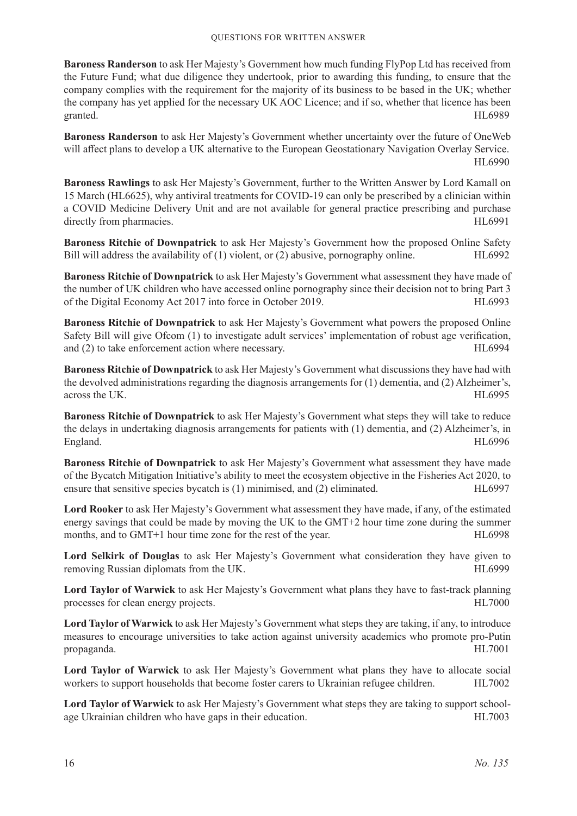**Baroness Randerson** to ask Her Majesty's Government how much funding FlyPop Ltd has received from the Future Fund; what due diligence they undertook, prior to awarding this funding, to ensure that the company complies with the requirement for the majority of its business to be based in the UK; whether the company has yet applied for the necessary UK AOC Licence; and if so, whether that licence has been granted. HL6989

**Baroness Randerson** to ask Her Majesty's Government whether uncertainty over the future of OneWeb will affect plans to develop a UK alternative to the European Geostationary Navigation Overlay Service. HL6990

**Baroness Rawlings** to ask Her Majesty's Government, further to the Written Answer by Lord Kamall on 15 March (HL6625), why antiviral treatments for COVID-19 can only be prescribed by a clinician within a COVID Medicine Delivery Unit and are not available for general practice prescribing and purchase directly from pharmacies. HL6991

**Baroness Ritchie of Downpatrick** to ask Her Majesty's Government how the proposed Online Safety Bill will address the availability of (1) violent, or (2) abusive, pornography online. HL6992

**Baroness Ritchie of Downpatrick** to ask Her Majesty's Government what assessment they have made of the number of UK children who have accessed online pornography since their decision not to bring Part 3 of the Digital Economy Act 2017 into force in October 2019. HL6993

**Baroness Ritchie of Downpatrick** to ask Her Majesty's Government what powers the proposed Online Safety Bill will give Ofcom (1) to investigate adult services' implementation of robust age verification, and (2) to take enforcement action where necessary. HL6994

**Baroness Ritchie of Downpatrick** to ask Her Majesty's Government what discussions they have had with the devolved administrations regarding the diagnosis arrangements for (1) dementia, and (2) Alzheimer's, across the UK. HL6995

**Baroness Ritchie of Downpatrick** to ask Her Majesty's Government what steps they will take to reduce the delays in undertaking diagnosis arrangements for patients with (1) dementia, and (2) Alzheimer's, in England. HL6996

**Baroness Ritchie of Downpatrick** to ask Her Majesty's Government what assessment they have made of the Bycatch Mitigation Initiative's ability to meet the ecosystem objective in the Fisheries Act 2020, to ensure that sensitive species by catch is  $(1)$  minimised, and  $(2)$  eliminated.  $HL6997$ 

**Lord Rooker** to ask Her Majesty's Government what assessment they have made, if any, of the estimated energy savings that could be made by moving the UK to the GMT+2 hour time zone during the summer months, and to GMT+1 hour time zone for the rest of the year. HL6998

**Lord Selkirk of Douglas** to ask Her Majesty's Government what consideration they have given to removing Russian diplomats from the UK. The state of the UK and the UK and the UK and the UK and the UK and the UK.

**Lord Taylor of Warwick** to ask Her Majesty's Government what plans they have to fast-track planning processes for clean energy projects. HL7000

**Lord Taylor of Warwick** to ask Her Majesty's Government what steps they are taking, if any, to introduce measures to encourage universities to take action against university academics who promote pro-Putin propaganda. HL7001

**Lord Taylor of Warwick** to ask Her Majesty's Government what plans they have to allocate social workers to support households that become foster carers to Ukrainian refugee children. HL7002

**Lord Taylor of Warwick** to ask Her Majesty's Government what steps they are taking to support schoolage Ukrainian children who have gaps in their education. HL7003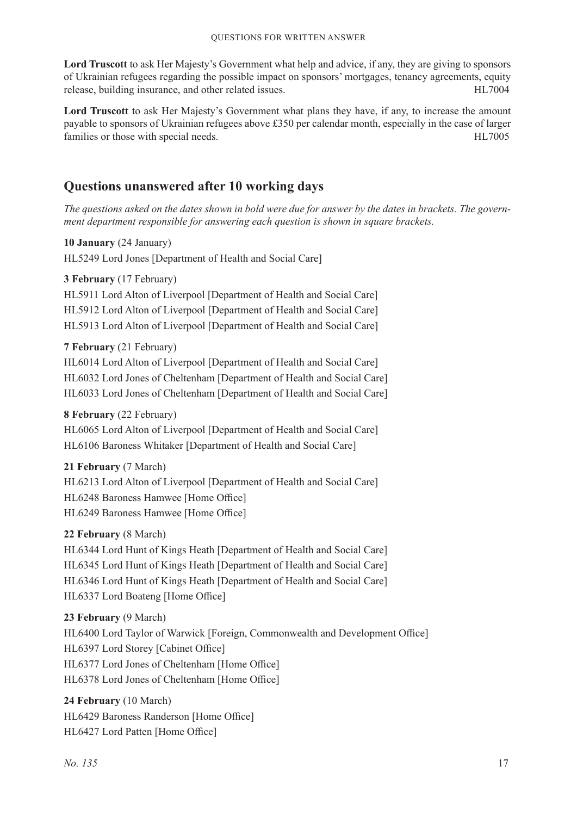**Lord Truscott** to ask Her Majesty's Government what help and advice, if any, they are giving to sponsors of Ukrainian refugees regarding the possible impact on sponsors' mortgages, tenancy agreements, equity release, building insurance, and other related issues. The mass of the HL7004

Lord Truscott to ask Her Majesty's Government what plans they have, if any, to increase the amount payable to sponsors of Ukrainian refugees above £350 per calendar month, especially in the case of larger families or those with special needs. HL7005

### **Questions unanswered after 10 working days**

*The questions asked on the dates shown in bold were due for answer by the dates in brackets. The government department responsible for answering each question is shown in square brackets.*

**10 January** (24 January)

HL5249 Lord Jones [Department of Health and Social Care]

### **3 February** (17 February)

HL5911 Lord Alton of Liverpool [Department of Health and Social Care] HL5912 Lord Alton of Liverpool [Department of Health and Social Care] HL5913 Lord Alton of Liverpool [Department of Health and Social Care]

### **7 February** (21 February)

HL6014 Lord Alton of Liverpool [Department of Health and Social Care] HL6032 Lord Jones of Cheltenham [Department of Health and Social Care] HL6033 Lord Jones of Cheltenham [Department of Health and Social Care]

### **8 February** (22 February)

HL6065 Lord Alton of Liverpool [Department of Health and Social Care] HL6106 Baroness Whitaker [Department of Health and Social Care]

### **21 February** (7 March)

HL6213 Lord Alton of Liverpool [Department of Health and Social Care] HL6248 Baroness Hamwee [Home Office] HL6249 Baroness Hamwee [Home Office]

### **22 February** (8 March)

HL6344 Lord Hunt of Kings Heath [Department of Health and Social Care] HL6345 Lord Hunt of Kings Heath [Department of Health and Social Care] HL6346 Lord Hunt of Kings Heath [Department of Health and Social Care] HL6337 Lord Boateng [Home Office]

### **23 February** (9 March)

HL6400 Lord Taylor of Warwick [Foreign, Commonwealth and Development Office] HL6397 Lord Storey [Cabinet Office] HL6377 Lord Jones of Cheltenham [Home Office] HL6378 Lord Jones of Cheltenham [Home Office]

### **24 February** (10 March) HL6429 Baroness Randerson [Home Office] HL6427 Lord Patten [Home Office]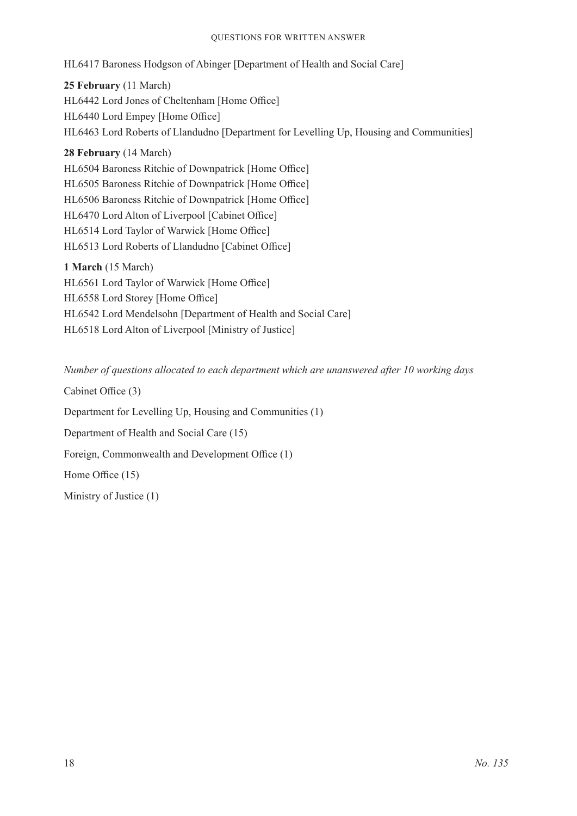#### Questions for Written Answer

HL6417 Baroness Hodgson of Abinger [Department of Health and Social Care]

**25 February** (11 March) HL6442 Lord Jones of Cheltenham [Home Office] HL6440 Lord Empey [Home Office] HL6463 Lord Roberts of Llandudno [Department for Levelling Up, Housing and Communities]

**28 February** (14 March) HL6504 Baroness Ritchie of Downpatrick [Home Office] HL6505 Baroness Ritchie of Downpatrick [Home Office] HL6506 Baroness Ritchie of Downpatrick [Home Office] HL6470 Lord Alton of Liverpool [Cabinet Office] HL6514 Lord Taylor of Warwick [Home Office] HL6513 Lord Roberts of Llandudno [Cabinet Office]

**1 March** (15 March) HL6561 Lord Taylor of Warwick [Home Office] HL6558 Lord Storey [Home Office] HL6542 Lord Mendelsohn [Department of Health and Social Care] HL6518 Lord Alton of Liverpool [Ministry of Justice]

*Number of questions allocated to each department which are unanswered after 10 working days*

Cabinet Office (3)

Department for Levelling Up, Housing and Communities (1)

Department of Health and Social Care (15)

Foreign, Commonwealth and Development Office (1)

Home Office (15)

Ministry of Justice (1)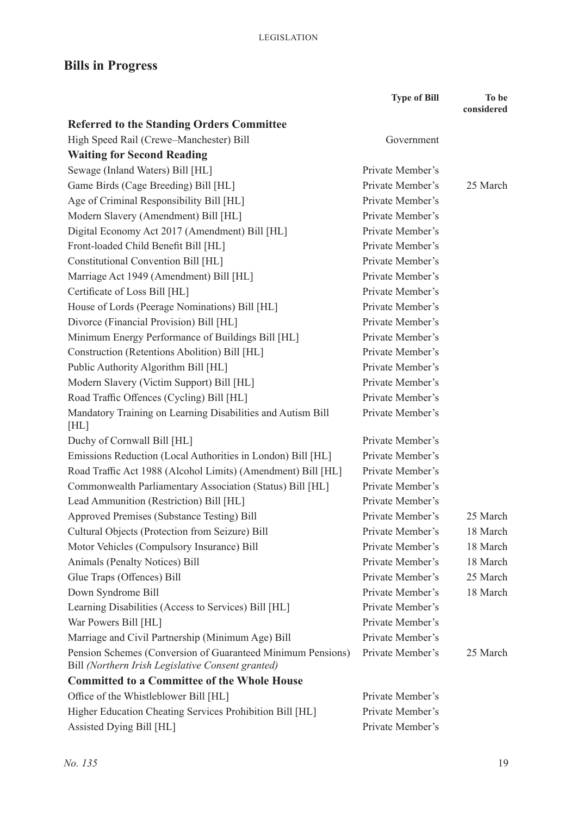## **Bills in Progress**

|                                                                     | <b>Type of Bill</b> | To be<br>considered |
|---------------------------------------------------------------------|---------------------|---------------------|
| <b>Referred to the Standing Orders Committee</b>                    |                     |                     |
| High Speed Rail (Crewe-Manchester) Bill                             | Government          |                     |
| <b>Waiting for Second Reading</b>                                   |                     |                     |
| Sewage (Inland Waters) Bill [HL]                                    | Private Member's    |                     |
| Game Birds (Cage Breeding) Bill [HL]                                | Private Member's    | 25 March            |
| Age of Criminal Responsibility Bill [HL]                            | Private Member's    |                     |
| Modern Slavery (Amendment) Bill [HL]                                | Private Member's    |                     |
| Digital Economy Act 2017 (Amendment) Bill [HL]                      | Private Member's    |                     |
| Front-loaded Child Benefit Bill [HL]                                | Private Member's    |                     |
| Constitutional Convention Bill [HL]                                 | Private Member's    |                     |
| Marriage Act 1949 (Amendment) Bill [HL]                             | Private Member's    |                     |
| Certificate of Loss Bill [HL]                                       | Private Member's    |                     |
| House of Lords (Peerage Nominations) Bill [HL]                      | Private Member's    |                     |
| Divorce (Financial Provision) Bill [HL]                             | Private Member's    |                     |
| Minimum Energy Performance of Buildings Bill [HL]                   | Private Member's    |                     |
| Construction (Retentions Abolition) Bill [HL]                       | Private Member's    |                     |
| Public Authority Algorithm Bill [HL]                                | Private Member's    |                     |
| Modern Slavery (Victim Support) Bill [HL]                           | Private Member's    |                     |
| Road Traffic Offences (Cycling) Bill [HL]                           | Private Member's    |                     |
| Mandatory Training on Learning Disabilities and Autism Bill<br>[HL] | Private Member's    |                     |
| Duchy of Cornwall Bill [HL]                                         | Private Member's    |                     |
| Emissions Reduction (Local Authorities in London) Bill [HL]         | Private Member's    |                     |
| Road Traffic Act 1988 (Alcohol Limits) (Amendment) Bill [HL]        | Private Member's    |                     |
| Commonwealth Parliamentary Association (Status) Bill [HL]           | Private Member's    |                     |
| Lead Ammunition (Restriction) Bill [HL]                             | Private Member's    |                     |
| Approved Premises (Substance Testing) Bill                          | Private Member's    | 25 March            |
| Cultural Objects (Protection from Seizure) Bill                     | Private Member's    | 18 March            |
| Motor Vehicles (Compulsory Insurance) Bill                          | Private Member's    | 18 March            |
| Animals (Penalty Notices) Bill                                      | Private Member's    | 18 March            |
| Glue Traps (Offences) Bill                                          | Private Member's    | 25 March            |
| Down Syndrome Bill                                                  | Private Member's    | 18 March            |
| Learning Disabilities (Access to Services) Bill [HL]                | Private Member's    |                     |
| War Powers Bill [HL]                                                | Private Member's    |                     |
| Marriage and Civil Partnership (Minimum Age) Bill                   | Private Member's    |                     |
| Pension Schemes (Conversion of Guaranteed Minimum Pensions)         | Private Member's    | 25 March            |
| Bill (Northern Irish Legislative Consent granted)                   |                     |                     |
| <b>Committed to a Committee of the Whole House</b>                  |                     |                     |
| Office of the Whistleblower Bill [HL]                               | Private Member's    |                     |
| Higher Education Cheating Services Prohibition Bill [HL]            | Private Member's    |                     |
| Assisted Dying Bill [HL]                                            | Private Member's    |                     |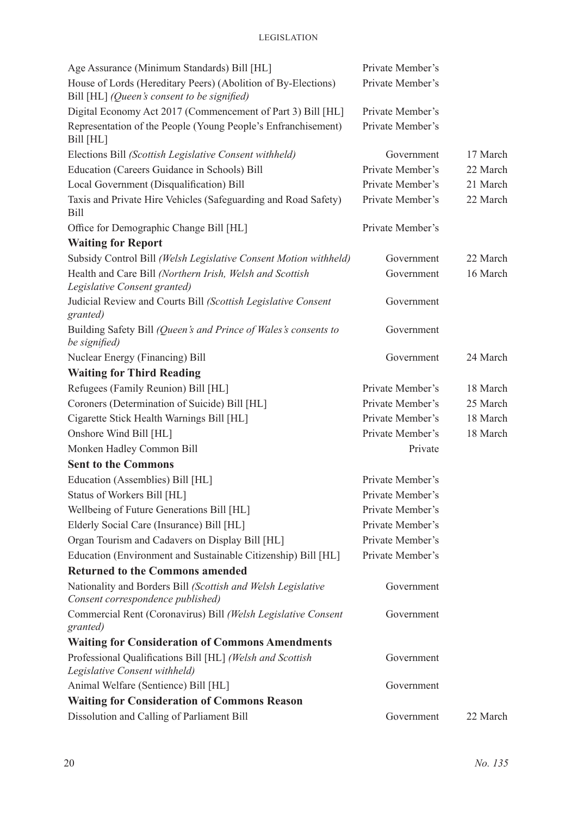| Age Assurance (Minimum Standards) Bill [HL]                                                                  | Private Member's |          |
|--------------------------------------------------------------------------------------------------------------|------------------|----------|
| House of Lords (Hereditary Peers) (Abolition of By-Elections)<br>Bill [HL] (Queen's consent to be signified) | Private Member's |          |
| Digital Economy Act 2017 (Commencement of Part 3) Bill [HL]                                                  | Private Member's |          |
| Representation of the People (Young People's Enfranchisement)<br>Bill [HL]                                   | Private Member's |          |
| Elections Bill (Scottish Legislative Consent withheld)                                                       | Government       | 17 March |
| Education (Careers Guidance in Schools) Bill                                                                 | Private Member's | 22 March |
| Local Government (Disqualification) Bill                                                                     | Private Member's | 21 March |
| Taxis and Private Hire Vehicles (Safeguarding and Road Safety)<br><b>Bill</b>                                | Private Member's | 22 March |
| Office for Demographic Change Bill [HL]                                                                      | Private Member's |          |
| <b>Waiting for Report</b>                                                                                    |                  |          |
| Subsidy Control Bill (Welsh Legislative Consent Motion withheld)                                             | Government       | 22 March |
| Health and Care Bill (Northern Irish, Welsh and Scottish<br>Legislative Consent granted)                     | Government       | 16 March |
| Judicial Review and Courts Bill (Scottish Legislative Consent<br>granted)                                    | Government       |          |
| Building Safety Bill (Queen's and Prince of Wales's consents to<br>be signified)                             | Government       |          |
| Nuclear Energy (Financing) Bill                                                                              | Government       | 24 March |
| <b>Waiting for Third Reading</b>                                                                             |                  |          |
| Refugees (Family Reunion) Bill [HL]                                                                          | Private Member's | 18 March |
| Coroners (Determination of Suicide) Bill [HL]                                                                | Private Member's | 25 March |
| Cigarette Stick Health Warnings Bill [HL]                                                                    | Private Member's | 18 March |
| Onshore Wind Bill [HL]                                                                                       | Private Member's | 18 March |
| Monken Hadley Common Bill                                                                                    | Private          |          |
| <b>Sent to the Commons</b>                                                                                   |                  |          |
| Education (Assemblies) Bill [HL]                                                                             | Private Member's |          |
| Status of Workers Bill [HL]                                                                                  | Private Member's |          |
| Wellbeing of Future Generations Bill [HL]                                                                    | Private Member's |          |
| Elderly Social Care (Insurance) Bill [HL]                                                                    | Private Member's |          |
| Organ Tourism and Cadavers on Display Bill [HL]                                                              | Private Member's |          |
| Education (Environment and Sustainable Citizenship) Bill [HL]                                                | Private Member's |          |
| <b>Returned to the Commons amended</b>                                                                       |                  |          |
| Nationality and Borders Bill (Scottish and Welsh Legislative<br>Consent correspondence published)            | Government       |          |
| Commercial Rent (Coronavirus) Bill (Welsh Legislative Consent<br>granted)                                    | Government       |          |
| <b>Waiting for Consideration of Commons Amendments</b>                                                       |                  |          |
| Professional Qualifications Bill [HL] (Welsh and Scottish<br>Legislative Consent withheld)                   | Government       |          |
| Animal Welfare (Sentience) Bill [HL]                                                                         | Government       |          |
| <b>Waiting for Consideration of Commons Reason</b>                                                           |                  |          |
| Dissolution and Calling of Parliament Bill                                                                   | Government       | 22 March |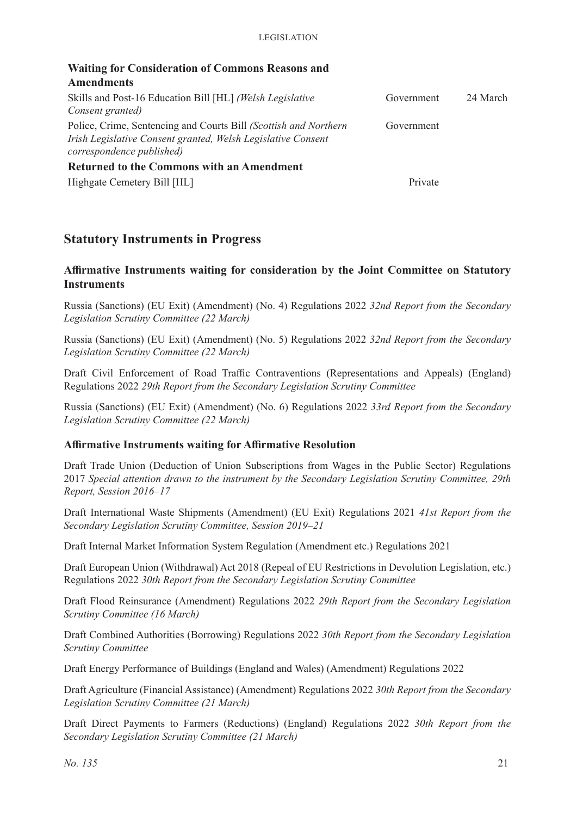| <b>Waiting for Consideration of Commons Reasons and</b>          |            |          |
|------------------------------------------------------------------|------------|----------|
| <b>Amendments</b>                                                |            |          |
| Skills and Post-16 Education Bill [HL] (Welsh Legislative        | Government | 24 March |
| Consent granted)                                                 |            |          |
| Police, Crime, Sentencing and Courts Bill (Scottish and Northern | Government |          |
| Irish Legislative Consent granted, Welsh Legislative Consent     |            |          |
| correspondence published)                                        |            |          |
| <b>Returned to the Commons with an Amendment</b>                 |            |          |
| Highgate Cemetery Bill [HL]                                      | Private    |          |

### **Statutory Instruments in Progress**

### **Affirmative Instruments waiting for consideration by the Joint Committee on Statutory Instruments**

Russia (Sanctions) (EU Exit) (Amendment) (No. 4) Regulations 2022 *32nd Report from the Secondary Legislation Scrutiny Committee (22 March)*

Russia (Sanctions) (EU Exit) (Amendment) (No. 5) Regulations 2022 *32nd Report from the Secondary Legislation Scrutiny Committee (22 March)*

Draft Civil Enforcement of Road Traffic Contraventions (Representations and Appeals) (England) Regulations 2022 *29th Report from the Secondary Legislation Scrutiny Committee*

Russia (Sanctions) (EU Exit) (Amendment) (No. 6) Regulations 2022 *33rd Report from the Secondary Legislation Scrutiny Committee (22 March)*

### **Affirmative Instruments waiting for Affirmative Resolution**

Draft Trade Union (Deduction of Union Subscriptions from Wages in the Public Sector) Regulations 2017 *Special attention drawn to the instrument by the Secondary Legislation Scrutiny Committee, 29th Report, Session 2016–17*

Draft International Waste Shipments (Amendment) (EU Exit) Regulations 2021 *41st Report from the Secondary Legislation Scrutiny Committee, Session 2019–21*

Draft Internal Market Information System Regulation (Amendment etc.) Regulations 2021

Draft European Union (Withdrawal) Act 2018 (Repeal of EU Restrictions in Devolution Legislation, etc.) Regulations 2022 *30th Report from the Secondary Legislation Scrutiny Committee*

Draft Flood Reinsurance (Amendment) Regulations 2022 *29th Report from the Secondary Legislation Scrutiny Committee (16 March)*

Draft Combined Authorities (Borrowing) Regulations 2022 *30th Report from the Secondary Legislation Scrutiny Committee*

Draft Energy Performance of Buildings (England and Wales) (Amendment) Regulations 2022

Draft Agriculture (Financial Assistance) (Amendment) Regulations 2022 *30th Report from the Secondary Legislation Scrutiny Committee (21 March)*

Draft Direct Payments to Farmers (Reductions) (England) Regulations 2022 *30th Report from the Secondary Legislation Scrutiny Committee (21 March)*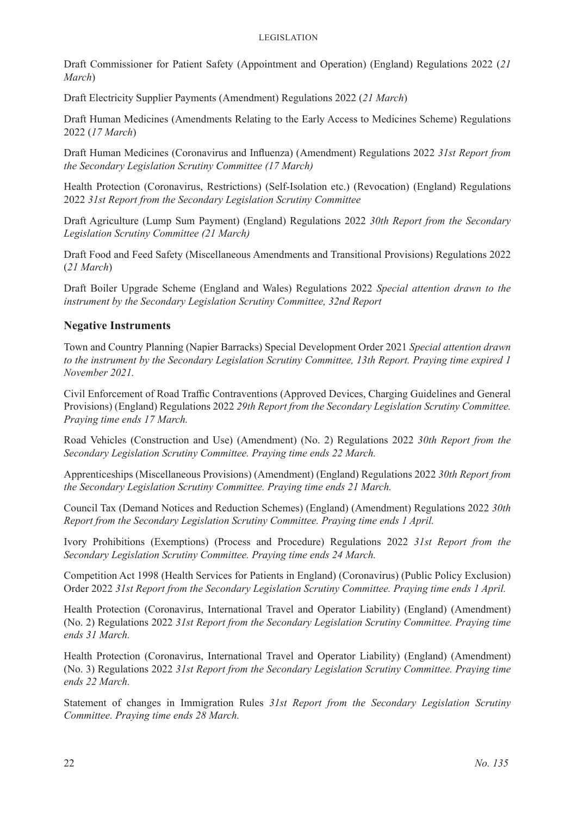Draft Commissioner for Patient Safety (Appointment and Operation) (England) Regulations 2022 (*21 March*)

Draft Electricity Supplier Payments (Amendment) Regulations 2022 (*21 March*)

Draft Human Medicines (Amendments Relating to the Early Access to Medicines Scheme) Regulations 2022 (*17 March*)

Draft Human Medicines (Coronavirus and Influenza) (Amendment) Regulations 2022 *31st Report from the Secondary Legislation Scrutiny Committee (17 March)*

Health Protection (Coronavirus, Restrictions) (Self-Isolation etc.) (Revocation) (England) Regulations 2022 *31st Report from the Secondary Legislation Scrutiny Committee*

Draft Agriculture (Lump Sum Payment) (England) Regulations 2022 *30th Report from the Secondary Legislation Scrutiny Committee (21 March)*

Draft Food and Feed Safety (Miscellaneous Amendments and Transitional Provisions) Regulations 2022 (*21 March*)

Draft Boiler Upgrade Scheme (England and Wales) Regulations 2022 *Special attention drawn to the instrument by the Secondary Legislation Scrutiny Committee, 32nd Report*

### **Negative Instruments**

Town and Country Planning (Napier Barracks) Special Development Order 2021 *Special attention drawn to the instrument by the Secondary Legislation Scrutiny Committee, 13th Report. Praying time expired 1 November 2021.*

Civil Enforcement of Road Traffic Contraventions (Approved Devices, Charging Guidelines and General Provisions) (England) Regulations 2022 *29th Report from the Secondary Legislation Scrutiny Committee. Praying time ends 17 March.*

Road Vehicles (Construction and Use) (Amendment) (No. 2) Regulations 2022 *30th Report from the Secondary Legislation Scrutiny Committee. Praying time ends 22 March.*

Apprenticeships (Miscellaneous Provisions) (Amendment) (England) Regulations 2022 *30th Report from the Secondary Legislation Scrutiny Committee. Praying time ends 21 March.*

Council Tax (Demand Notices and Reduction Schemes) (England) (Amendment) Regulations 2022 *30th Report from the Secondary Legislation Scrutiny Committee. Praying time ends 1 April.*

Ivory Prohibitions (Exemptions) (Process and Procedure) Regulations 2022 *31st Report from the Secondary Legislation Scrutiny Committee. Praying time ends 24 March.*

Competition Act 1998 (Health Services for Patients in England) (Coronavirus) (Public Policy Exclusion) Order 2022 *31st Report from the Secondary Legislation Scrutiny Committee. Praying time ends 1 April.*

Health Protection (Coronavirus, International Travel and Operator Liability) (England) (Amendment) (No. 2) Regulations 2022 *31st Report from the Secondary Legislation Scrutiny Committee. Praying time ends 31 March.*

Health Protection (Coronavirus, International Travel and Operator Liability) (England) (Amendment) (No. 3) Regulations 2022 *31st Report from the Secondary Legislation Scrutiny Committee. Praying time ends 22 March.*

Statement of changes in Immigration Rules *31st Report from the Secondary Legislation Scrutiny Committee. Praying time ends 28 March.*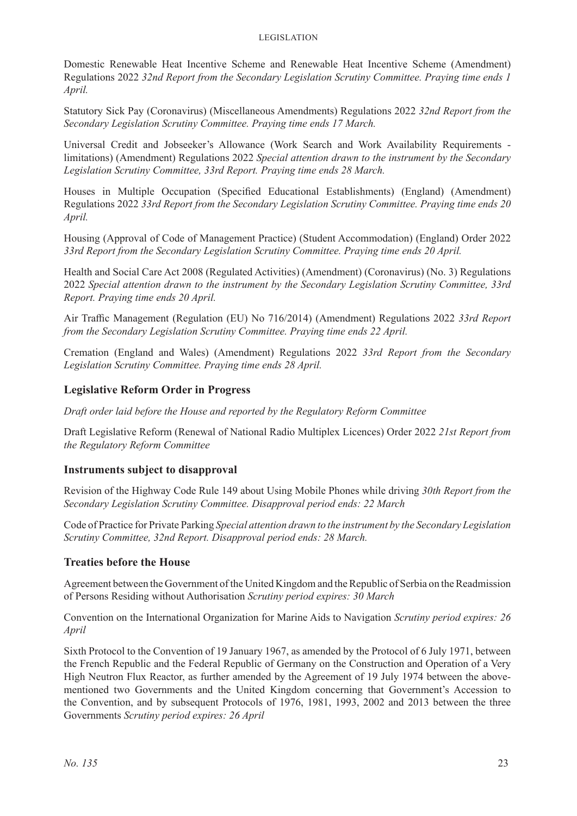#### Legislation

Domestic Renewable Heat Incentive Scheme and Renewable Heat Incentive Scheme (Amendment) Regulations 2022 *32nd Report from the Secondary Legislation Scrutiny Committee. Praying time ends 1 April.*

Statutory Sick Pay (Coronavirus) (Miscellaneous Amendments) Regulations 2022 *32nd Report from the Secondary Legislation Scrutiny Committee. Praying time ends 17 March.*

Universal Credit and Jobseeker's Allowance (Work Search and Work Availability Requirements limitations) (Amendment) Regulations 2022 *Special attention drawn to the instrument by the Secondary Legislation Scrutiny Committee, 33rd Report. Praying time ends 28 March.*

Houses in Multiple Occupation (Specified Educational Establishments) (England) (Amendment) Regulations 2022 *33rd Report from the Secondary Legislation Scrutiny Committee. Praying time ends 20 April.*

Housing (Approval of Code of Management Practice) (Student Accommodation) (England) Order 2022 *33rd Report from the Secondary Legislation Scrutiny Committee. Praying time ends 20 April.*

Health and Social Care Act 2008 (Regulated Activities) (Amendment) (Coronavirus) (No. 3) Regulations 2022 *Special attention drawn to the instrument by the Secondary Legislation Scrutiny Committee, 33rd Report. Praying time ends 20 April.*

Air Traffic Management (Regulation (EU) No 716/2014) (Amendment) Regulations 2022 *33rd Report from the Secondary Legislation Scrutiny Committee. Praying time ends 22 April.*

Cremation (England and Wales) (Amendment) Regulations 2022 *33rd Report from the Secondary Legislation Scrutiny Committee. Praying time ends 28 April.*

### **Legislative Reform Order in Progress**

*Draft order laid before the House and reported by the Regulatory Reform Committee*

Draft Legislative Reform (Renewal of National Radio Multiplex Licences) Order 2022 *21st Report from the Regulatory Reform Committee*

### **Instruments subject to disapproval**

Revision of the Highway Code Rule 149 about Using Mobile Phones while driving *30th Report from the Secondary Legislation Scrutiny Committee. Disapproval period ends: 22 March*

Code of Practice for Private Parking *Special attention drawn to the instrument by the Secondary Legislation Scrutiny Committee, 32nd Report. Disapproval period ends: 28 March.*

### **Treaties before the House**

Agreement between the Government of the United Kingdom and the Republic of Serbia on the Readmission of Persons Residing without Authorisation *Scrutiny period expires: 30 March*

Convention on the International Organization for Marine Aids to Navigation *Scrutiny period expires: 26 April*

Sixth Protocol to the Convention of 19 January 1967, as amended by the Protocol of 6 July 1971, between the French Republic and the Federal Republic of Germany on the Construction and Operation of a Very High Neutron Flux Reactor, as further amended by the Agreement of 19 July 1974 between the abovementioned two Governments and the United Kingdom concerning that Government's Accession to the Convention, and by subsequent Protocols of 1976, 1981, 1993, 2002 and 2013 between the three Governments *Scrutiny period expires: 26 April*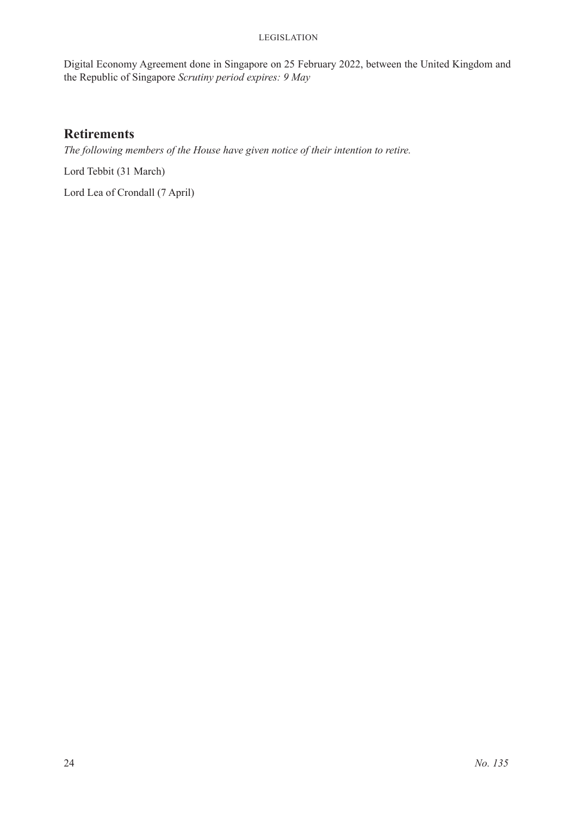#### **LEGISLATION**

Digital Economy Agreement done in Singapore on 25 February 2022, between the United Kingdom and the Republic of Singapore *Scrutiny period expires: 9 May*

### **Retirements**

*The following members of the House have given notice of their intention to retire.*

Lord Tebbit (31 March)

Lord Lea of Crondall (7 April)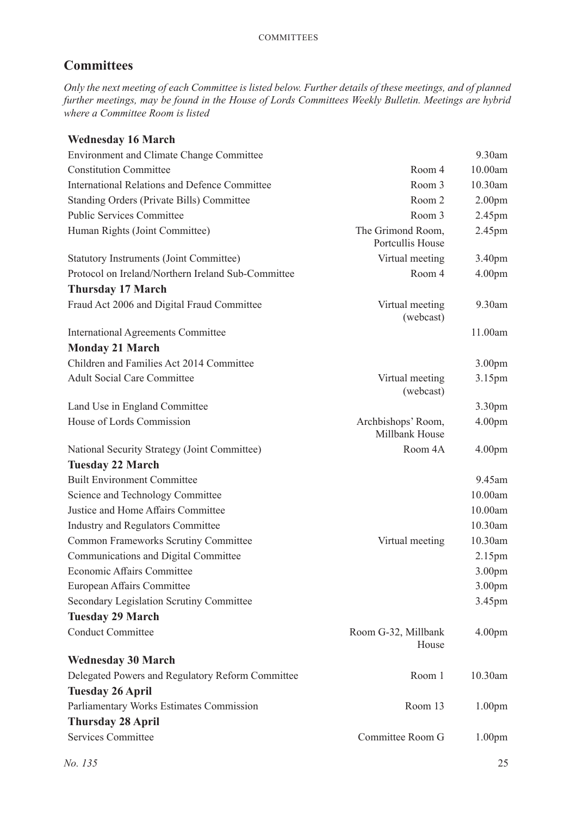### **Committees**

*Only the next meeting of each Committee is listed below. Further details of these meetings, and of planned further meetings, may be found in the House of Lords Committees Weekly Bulletin. Meetings are hybrid where a Committee Room is listed*

### **Wednesday 16 March**

| <b>Environment and Climate Change Committee</b>      |                                       | 9.30am             |
|------------------------------------------------------|---------------------------------------|--------------------|
| <b>Constitution Committee</b>                        | Room 4                                | 10.00am            |
| <b>International Relations and Defence Committee</b> | Room 3                                | 10.30am            |
| <b>Standing Orders (Private Bills) Committee</b>     | Room 2                                | 2.00 <sub>pm</sub> |
| <b>Public Services Committee</b>                     | Room 3                                | 2.45pm             |
| Human Rights (Joint Committee)                       | The Grimond Room,<br>Portcullis House | 2.45pm             |
| <b>Statutory Instruments (Joint Committee)</b>       | Virtual meeting                       | 3.40pm             |
| Protocol on Ireland/Northern Ireland Sub-Committee   | Room 4                                | 4.00 <sub>pm</sub> |
| <b>Thursday 17 March</b>                             |                                       |                    |
| Fraud Act 2006 and Digital Fraud Committee           | Virtual meeting<br>(webcast)          | 9.30am             |
| <b>International Agreements Committee</b>            |                                       | 11.00am            |
| <b>Monday 21 March</b>                               |                                       |                    |
| Children and Families Act 2014 Committee             |                                       | 3.00 <sub>pm</sub> |
| <b>Adult Social Care Committee</b>                   | Virtual meeting<br>(webcast)          | 3.15 <sub>pm</sub> |
| Land Use in England Committee                        |                                       | 3.30pm             |
| House of Lords Commission                            | Archbishops' Room,<br>Millbank House  | 4.00 <sub>pm</sub> |
| National Security Strategy (Joint Committee)         | Room 4A                               | 4.00 <sub>pm</sub> |
| <b>Tuesday 22 March</b>                              |                                       |                    |
| <b>Built Environment Committee</b>                   |                                       | 9.45am             |
| Science and Technology Committee                     |                                       | 10.00am            |
| Justice and Home Affairs Committee                   |                                       | 10.00am            |
| <b>Industry and Regulators Committee</b>             |                                       | 10.30am            |
| <b>Common Frameworks Scrutiny Committee</b>          | Virtual meeting                       | 10.30am            |
| Communications and Digital Committee                 |                                       | 2.15 <sub>pm</sub> |
| Economic Affairs Committee                           |                                       | 3.00pm             |
| <b>European Affairs Committee</b>                    |                                       | 3.00pm             |
| Secondary Legislation Scrutiny Committee             |                                       | 3.45pm             |
| <b>Tuesday 29 March</b>                              |                                       |                    |
| <b>Conduct Committee</b>                             | Room G-32, Millbank<br>House          | 4.00 <sub>pm</sub> |
| <b>Wednesday 30 March</b>                            |                                       |                    |
| Delegated Powers and Regulatory Reform Committee     | Room 1                                | 10.30am            |
| <b>Tuesday 26 April</b>                              |                                       |                    |
| Parliamentary Works Estimates Commission             | Room 13                               | 1.00 <sub>pm</sub> |
| <b>Thursday 28 April</b>                             |                                       |                    |
| <b>Services Committee</b>                            | Committee Room G                      | 1.00 <sub>pm</sub> |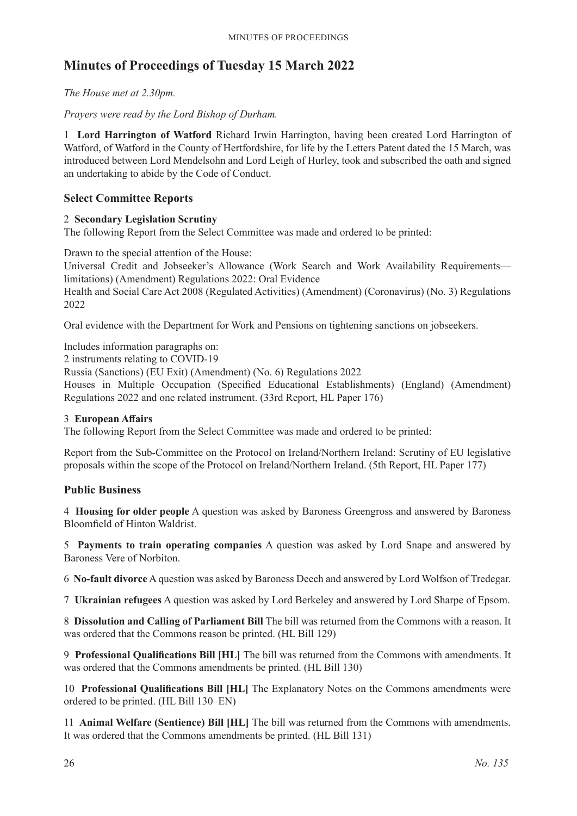### **Minutes of Proceedings of Tuesday 15 March 2022**

*The House met at 2.30pm.*

*Prayers were read by the Lord Bishop of Durham.*

1 **Lord Harrington of Watford** Richard Irwin Harrington, having been created Lord Harrington of Watford, of Watford in the County of Hertfordshire, for life by the Letters Patent dated the 15 March, was introduced between Lord Mendelsohn and Lord Leigh of Hurley, took and subscribed the oath and signed an undertaking to abide by the Code of Conduct.

### **Select Committee Reports**

### 2 **Secondary Legislation Scrutiny**

The following Report from the Select Committee was made and ordered to be printed:

Drawn to the special attention of the House:

Universal Credit and Jobseeker's Allowance (Work Search and Work Availability Requirements limitations) (Amendment) Regulations 2022: Oral Evidence Health and Social Care Act 2008 (Regulated Activities) (Amendment) (Coronavirus) (No. 3) Regulations 2022

Oral evidence with the Department for Work and Pensions on tightening sanctions on jobseekers.

Includes information paragraphs on:

2 instruments relating to COVID-19

Russia (Sanctions) (EU Exit) (Amendment) (No. 6) Regulations 2022

Houses in Multiple Occupation (Specified Educational Establishments) (England) (Amendment) Regulations 2022 and one related instrument. (33rd Report, HL Paper 176)

### 3 **European Affairs**

The following Report from the Select Committee was made and ordered to be printed:

Report from the Sub-Committee on the Protocol on Ireland/Northern Ireland: Scrutiny of EU legislative proposals within the scope of the Protocol on Ireland/Northern Ireland. (5th Report, HL Paper 177)

### **Public Business**

4 **Housing for older people** A question was asked by Baroness Greengross and answered by Baroness Bloomfield of Hinton Waldrist.

5 **Payments to train operating companies** A question was asked by Lord Snape and answered by Baroness Vere of Norbiton.

6 **No-fault divorce** A question was asked by Baroness Deech and answered by Lord Wolfson of Tredegar.

7 **Ukrainian refugees** A question was asked by Lord Berkeley and answered by Lord Sharpe of Epsom.

8 **Dissolution and Calling of Parliament Bill** The bill was returned from the Commons with a reason. It was ordered that the Commons reason be printed. (HL Bill 129)

9 **Professional Qualifications Bill [HL]** The bill was returned from the Commons with amendments. It was ordered that the Commons amendments be printed. (HL Bill 130)

10 **Professional Qualifications Bill [HL]** The Explanatory Notes on the Commons amendments were ordered to be printed. (HL Bill 130–EN)

11 **Animal Welfare (Sentience) Bill [HL]** The bill was returned from the Commons with amendments. It was ordered that the Commons amendments be printed. (HL Bill 131)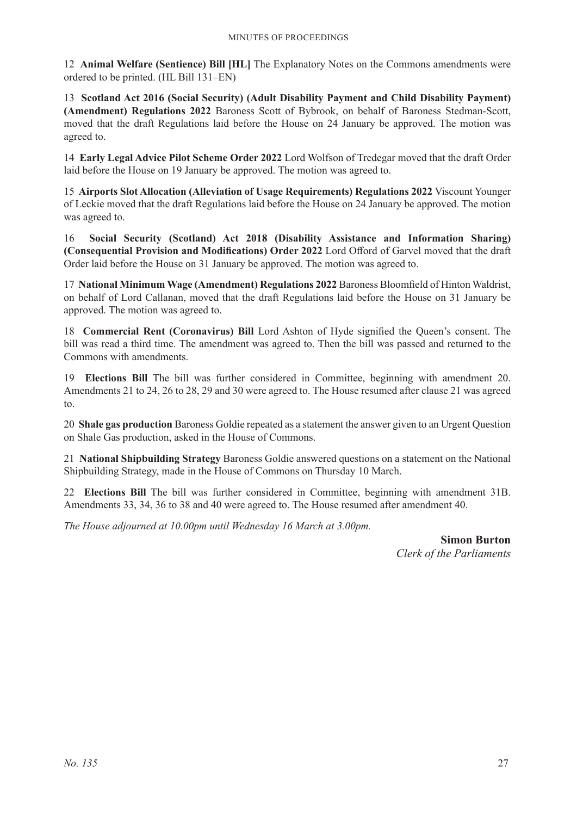12 **Animal Welfare (Sentience) Bill [HL]** The Explanatory Notes on the Commons amendments were ordered to be printed. (HL Bill 131–EN)

13 **Scotland Act 2016 (Social Security) (Adult Disability Payment and Child Disability Payment) (Amendment) Regulations 2022** Baroness Scott of Bybrook, on behalf of Baroness Stedman-Scott, moved that the draft Regulations laid before the House on 24 January be approved. The motion was agreed to.

14 **Early Legal Advice Pilot Scheme Order 2022** Lord Wolfson of Tredegar moved that the draft Order laid before the House on 19 January be approved. The motion was agreed to.

15 **Airports Slot Allocation (Alleviation of Usage Requirements) Regulations 2022** Viscount Younger of Leckie moved that the draft Regulations laid before the House on 24 January be approved. The motion was agreed to.

16 **Social Security (Scotland) Act 2018 (Disability Assistance and Information Sharing) (Consequential Provision and Modifications) Order 2022** Lord Offord of Garvel moved that the draft Order laid before the House on 31 January be approved. The motion was agreed to.

17 **National Minimum Wage (Amendment) Regulations 2022** Baroness Bloomfield of Hinton Waldrist, on behalf of Lord Callanan, moved that the draft Regulations laid before the House on 31 January be approved. The motion was agreed to.

18 **Commercial Rent (Coronavirus) Bill** Lord Ashton of Hyde signified the Queen's consent. The bill was read a third time. The amendment was agreed to. Then the bill was passed and returned to the Commons with amendments.

19 **Elections Bill** The bill was further considered in Committee, beginning with amendment 20. Amendments 21 to 24, 26 to 28, 29 and 30 were agreed to. The House resumed after clause 21 was agreed to.

20 **Shale gas production** Baroness Goldie repeated as a statement the answer given to an Urgent Question on Shale Gas production, asked in the House of Commons.

21 **National Shipbuilding Strategy** Baroness Goldie answered questions on a statement on the National Shipbuilding Strategy, made in the House of Commons on Thursday 10 March.

22 **Elections Bill** The bill was further considered in Committee, beginning with amendment 31B. Amendments 33, 34, 36 to 38 and 40 were agreed to. The House resumed after amendment 40.

*The House adjourned at 10.00pm until Wednesday 16 March at 3.00pm.*

**Simon Burton** *Clerk of the Parliaments*